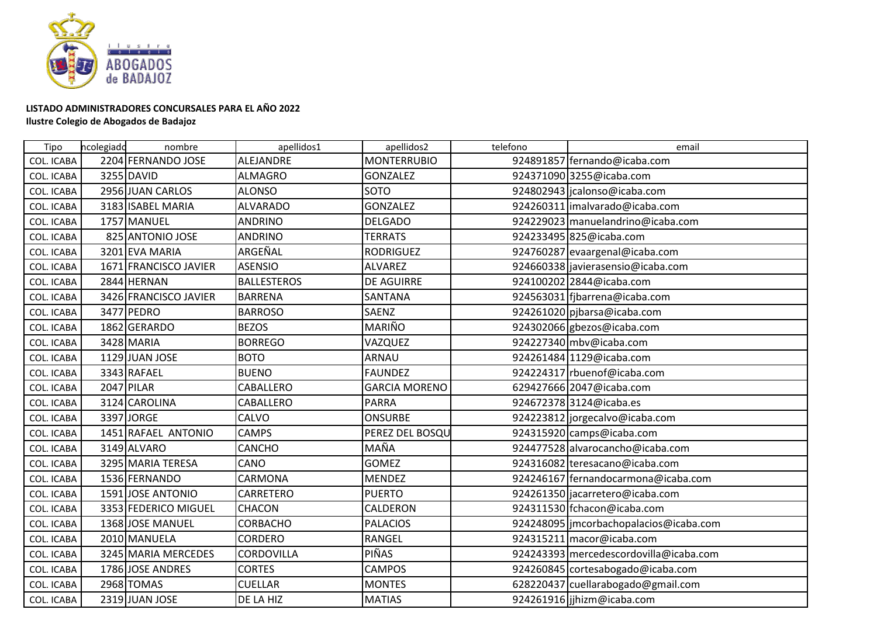

## **LISTADO ADMINISTRADORES CONCURSALES PARA EL AÑO 2022**

## **Ilustre Colegio de Abogados de Badajoz**

| Tipo              | ncolegiadd | nombre                | apellidos1         | apellidos2           | telefono | email                                    |
|-------------------|------------|-----------------------|--------------------|----------------------|----------|------------------------------------------|
| <b>COL. ICABA</b> |            | 2204 FERNANDO JOSE    | ALEJANDRE          | <b>MONTERRUBIO</b>   |          | 924891857 fernando@icaba.com             |
| <b>COL. ICABA</b> |            | 3255 DAVID            | <b>ALMAGRO</b>     | <b>GONZALEZ</b>      |          | 924371090 3255@icaba.com                 |
| COL. ICABA        |            | 2956 JUAN CARLOS      | <b>ALONSO</b>      | <b>SOTO</b>          |          | 924802943   jcalonso@icaba.com           |
| <b>COL. ICABA</b> |            | 3183 ISABEL MARIA     | <b>ALVARADO</b>    | <b>GONZALEZ</b>      |          | 924260311 imalvarado@icaba.com           |
| COL. ICABA        |            | 1757 MANUEL           | <b>ANDRINO</b>     | <b>DELGADO</b>       |          | 924229023 manuelandrino@icaba.com        |
| <b>COL. ICABA</b> |            | 825 ANTONIO JOSE      | <b>ANDRINO</b>     | <b>TERRATS</b>       |          | 924233495 825@icaba.com                  |
| <b>COL. ICABA</b> |            | 3201 EVA MARIA        | ARGEÑAL            | <b>RODRIGUEZ</b>     |          | 924760287 evaargenal@icaba.com           |
| <b>COL. ICABA</b> |            | 1671 FRANCISCO JAVIER | <b>ASENSIO</b>     | <b>ALVAREZ</b>       |          | 924660338 javierasensio@icaba.com        |
| <b>COL. ICABA</b> |            | 2844 HERNAN           | <b>BALLESTEROS</b> | <b>DE AGUIRRE</b>    |          | 924100202 2844@icaba.com                 |
| <b>COL. ICABA</b> |            | 3426 FRANCISCO JAVIER | <b>BARRENA</b>     | SANTANA              |          | 924563031 fjbarrena@icaba.com            |
| <b>COL. ICABA</b> |            | 3477 PEDRO            | <b>BARROSO</b>     | SAENZ                |          | 924261020 pjbarsa@icaba.com              |
| <b>COL. ICABA</b> |            | 1862 GERARDO          | <b>BEZOS</b>       | MARIÑO               |          | 924302066 gbezos@icaba.com               |
| <b>COL. ICABA</b> |            | 3428 MARIA            | <b>BORREGO</b>     | VAZQUEZ              |          | 924227340 mbv@icaba.com                  |
| <b>COL. ICABA</b> |            | 1129 JUAN JOSE        | <b>BOTO</b>        | ARNAU                |          | 924261484 1129@icaba.com                 |
| COL. ICABA        |            | 3343 RAFAEL           | <b>BUENO</b>       | <b>FAUNDEZ</b>       |          | 924224317 rbuenof@icaba.com              |
| <b>COL. ICABA</b> |            | 2047 PILAR            | CABALLERO          | <b>GARCIA MORENO</b> |          | 629427666 2047@icaba.com                 |
| <b>COL. ICABA</b> |            | 3124 CAROLINA         | CABALLERO          | <b>PARRA</b>         |          | 924672378 3124@icaba.es                  |
| <b>COL. ICABA</b> |            | 3397 JORGE            | CALVO              | <b>ONSURBE</b>       |          | 924223812 jorgecalvo@icaba.com           |
| <b>COL. ICABA</b> |            | 1451 RAFAEL ANTONIO   | <b>CAMPS</b>       | PEREZ DEL BOSQU      |          | 924315920 camps@icaba.com                |
| <b>COL. ICABA</b> |            | 3149 ALVARO           | <b>CANCHO</b>      | MAÑA                 |          | 924477528 alvarocancho@icaba.com         |
| <b>COL. ICABA</b> |            | 3295 MARIA TERESA     | CANO               | <b>GOMEZ</b>         |          | 924316082 teresacano@icaba.com           |
| <b>COL. ICABA</b> |            | 1536 FERNANDO         | CARMONA            | <b>MENDEZ</b>        |          | 924246167 fernandocarmona@icaba.com      |
| <b>COL. ICABA</b> |            | 1591 JOSE ANTONIO     | CARRETERO          | <b>PUERTO</b>        |          | 924261350 jacarretero@icaba.com          |
| <b>COL. ICABA</b> |            | 3353 FEDERICO MIGUEL  | CHACON             | CALDERON             |          | 924311530 fchacon@icaba.com              |
| <b>COL. ICABA</b> |            | 1368 JOSE MANUEL      | <b>CORBACHO</b>    | <b>PALACIOS</b>      |          | 924248095   jmcorbachopalacios@icaba.com |
| <b>COL. ICABA</b> |            | 2010 MANUELA          | <b>CORDERO</b>     | RANGEL               |          | 924315211 macor@icaba.com                |
| COL. ICABA        |            | 3245 MARIA MERCEDES   | CORDOVILLA         | PIÑAS                |          | 924243393 mercedescordovilla@icaba.com   |
| <b>COL. ICABA</b> |            | 1786 JOSE ANDRES      | <b>CORTES</b>      | <b>CAMPOS</b>        |          | 924260845 cortesabogado@icaba.com        |
| <b>COL. ICABA</b> |            | 2968 TOMAS            | <b>CUELLAR</b>     | <b>MONTES</b>        |          | 628220437 cuellarabogado@gmail.com       |
| <b>COL. ICABA</b> |            | 2319 JUAN JOSE        | DE LA HIZ          | <b>MATIAS</b>        |          | 924261916 jjhizm@icaba.com               |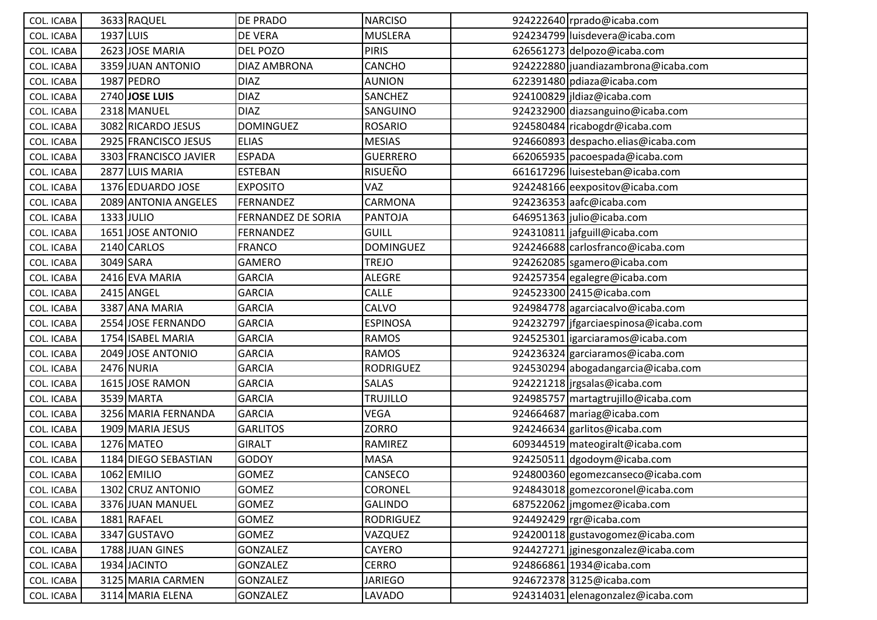| <b>COL. ICABA</b> |           | 3633 RAQUEL           | DE PRADO                  | <b>NARCISO</b>   | 924222640 rprado@icaba.com             |
|-------------------|-----------|-----------------------|---------------------------|------------------|----------------------------------------|
| <b>COL. ICABA</b> | 1937 LUIS |                       | <b>DE VERA</b>            | <b>MUSLERA</b>   | 924234799 luisdevera@icaba.com         |
| <b>COL. ICABA</b> |           | 2623 JOSE MARIA       | <b>DEL POZO</b>           | <b>PIRIS</b>     | 626561273 delpozo@icaba.com            |
| <b>COL. ICABA</b> |           | 3359 JUAN ANTONIO     | <b>DIAZ AMBRONA</b>       | CANCHO           | 924222880 juandiazambrona@icaba.com    |
| COL. ICABA        |           | 1987 PEDRO            | <b>DIAZ</b>               | <b>AUNION</b>    | 622391480 pdiaza@icaba.com             |
| COL. ICABA        |           | 2740 JOSE LUIS        | <b>DIAZ</b>               | SANCHEZ          | 924100829 jldiaz@icaba.com             |
| <b>COL. ICABA</b> |           | 2318 MANUEL           | <b>DIAZ</b>               | <b>SANGUINO</b>  | 924232900 diazsanguino@icaba.com       |
| <b>COL. ICABA</b> |           | 3082 RICARDO JESUS    | <b>DOMINGUEZ</b>          | <b>ROSARIO</b>   | 924580484 ricabogdr@icaba.com          |
| COL. ICABA        |           | 2925 FRANCISCO JESUS  | <b>ELIAS</b>              | <b>MESIAS</b>    | 924660893 despacho.elias@icaba.com     |
| <b>COL. ICABA</b> |           | 3303 FRANCISCO JAVIER | <b>ESPADA</b>             | <b>GUERRERO</b>  | 662065935   pacoespada@icaba.com       |
| <b>COL. ICABA</b> |           | 2877 LUIS MARIA       | <b>ESTEBAN</b>            | <b>RISUEÑO</b>   | 661617296 luisesteban@icaba.com        |
| <b>COL. ICABA</b> |           | 1376 EDUARDO JOSE     | <b>EXPOSITO</b>           | VAZ              | 924248166 eexpositov@icaba.com         |
| <b>COL. ICABA</b> |           | 2089 ANTONIA ANGELES  | FERNANDEZ                 | CARMONA          | 924236353 aafc@icaba.com               |
| <b>COL. ICABA</b> |           | 1333 JULIO            | <b>FERNANDEZ DE SORIA</b> | <b>PANTOJA</b>   | 646951363 julio@icaba.com              |
| COL. ICABA        |           | 1651 JOSE ANTONIO     | FERNANDEZ                 | GUILL            | 924310811 jafguill@icaba.com           |
| <b>COL. ICABA</b> |           | 2140 CARLOS           | <b>FRANCO</b>             | <b>DOMINGUEZ</b> | 924246688 carlosfranco@icaba.com       |
| COL. ICABA        |           | 3049 SARA             | <b>GAMERO</b>             | <b>TREJO</b>     | 924262085 sgamero@icaba.com            |
| COL. ICABA        |           | 2416 EVA MARIA        | <b>GARCIA</b>             | <b>ALEGRE</b>    | 924257354 egalegre@icaba.com           |
| COL. ICABA        |           | 2415 ANGEL            | <b>GARCIA</b>             | CALLE            | 924523300 2415@icaba.com               |
| COL. ICABA        |           | 3387 ANA MARIA        | <b>GARCIA</b>             | CALVO            | 924984778 agarciacalvo@icaba.com       |
| COL. ICABA        |           | 2554 JOSE FERNANDO    | <b>GARCIA</b>             | <b>ESPINOSA</b>  | 924232797   jfgarciaespinosa@icaba.com |
| <b>COL. ICABA</b> |           | 1754 ISABEL MARIA     | <b>GARCIA</b>             | <b>RAMOS</b>     | 924525301   igarciaramos@icaba.com     |
| <b>COL. ICABA</b> |           | 2049 JOSE ANTONIO     | <b>GARCIA</b>             | <b>RAMOS</b>     | 924236324 garciaramos@icaba.com        |
| <b>COL. ICABA</b> |           | 2476 NURIA            | <b>GARCIA</b>             | <b>RODRIGUEZ</b> | 924530294 abogadangarcia@icaba.com     |
| COL. ICABA        |           | 1615 JOSE RAMON       | <b>GARCIA</b>             | <b>SALAS</b>     | 924221218 jrgsalas@icaba.com           |
| <b>COL. ICABA</b> |           | 3539 MARTA            | <b>GARCIA</b>             | <b>TRUJILLO</b>  | 924985757 martagtrujillo@icaba.com     |
| <b>COL. ICABA</b> |           | 3256 MARIA FERNANDA   | <b>GARCIA</b>             | <b>VEGA</b>      | 924664687 mariag@icaba.com             |
| COL. ICABA        |           | 1909 MARIA JESUS      | <b>GARLITOS</b>           | <b>ZORRO</b>     | 924246634 garlitos@icaba.com           |
| COL. ICABA        |           | 1276 MATEO            | <b>GIRALT</b>             | <b>RAMIREZ</b>   | 609344519 mateogiralt@icaba.com        |
| COL. ICABA        |           | 1184 DIEGO SEBASTIAN  | <b>GODOY</b>              | <b>MASA</b>      | 924250511 dgodoym@icaba.com            |
| <b>COL. ICABA</b> |           | 1062 EMILIO           | <b>GOMEZ</b>              | CANSECO          | 924800360 egomezcanseco@icaba.com      |
| COL. ICABA        |           | 1302 CRUZ ANTONIO     | GOMEZ                     | <b>CORONEL</b>   | 924843018 gomezcoronel@icaba.com       |
| COL. ICABA        |           | 3376 JUAN MANUEL      | <b>GOMEZ</b>              | <b>GALINDO</b>   | 687522062   jmgomez@icaba.com          |
| COL. ICABA        |           | 1881 RAFAEL           | GOMEZ                     | <b>RODRIGUEZ</b> | 924492429 rgr@icaba.com                |
| COL. ICABA        |           | 3347 GUSTAVO          | <b>GOMEZ</b>              | VAZQUEZ          | 924200118 gustavogomez@icaba.com       |
| COL. ICABA        |           | 1788 JUAN GINES       | GONZALEZ                  | CAYERO           | 924427271 jginesgonzalez@icaba.com     |
| COL. ICABA        |           | 1934 JACINTO          | GONZALEZ                  | CERRO            | 924866861 1934@icaba.com               |
| COL. ICABA        |           | 3125 MARIA CARMEN     | <b>GONZALEZ</b>           | <b>JARIEGO</b>   | 924672378 3125@icaba.com               |
| COL. ICABA        |           | 3114 MARIA ELENA      | <b>GONZALEZ</b>           | <b>LAVADO</b>    | 924314031 elenagonzalez@icaba.com      |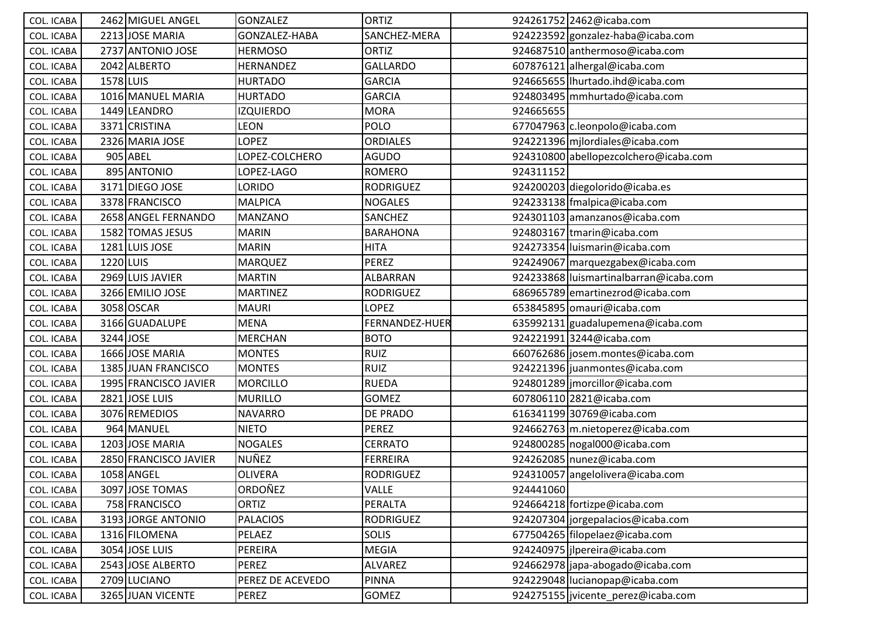| COL. ICABA        |           | 2462 MIGUEL ANGEL     | <b>GONZALEZ</b>  | <b>ORTIZ</b>     |           | 924261752 2462@icaba.com               |
|-------------------|-----------|-----------------------|------------------|------------------|-----------|----------------------------------------|
| COL. ICABA        |           | 2213 JOSE MARIA       | GONZALEZ-HABA    | SANCHEZ-MERA     |           | 924223592 gonzalez-haba@icaba.com      |
| COL. ICABA        |           | 2737 ANTONIO JOSE     | <b>HERMOSO</b>   | ORTIZ            |           | 924687510 anthermoso@icaba.com         |
| <b>COL. ICABA</b> |           | 2042 ALBERTO          | HERNANDEZ        | <b>GALLARDO</b>  |           | 607876121 alhergal@icaba.com           |
| COL. ICABA        | 1578 LUIS |                       | <b>HURTADO</b>   | <b>GARCIA</b>    |           | 924665655   Ihurtado.ihd@icaba.com     |
| <b>COL. ICABA</b> |           | 1016 MANUEL MARIA     | <b>HURTADO</b>   | <b>GARCIA</b>    |           | 924803495 mmhurtado@icaba.com          |
| COL. ICABA        |           | 1449 LEANDRO          | <b>IZQUIERDO</b> | <b>MORA</b>      | 924665655 |                                        |
| COL. ICABA        |           | 3371 CRISTINA         | <b>LEON</b>      | <b>POLO</b>      |           | 677047963 c.leonpolo@icaba.com         |
| <b>COL. ICABA</b> |           | 2326 MARIA JOSE       | LOPEZ            | <b>ORDIALES</b>  |           | 924221396 mjlordiales@icaba.com        |
| COL. ICABA        |           | 905 ABEL              | OPEZ-COLCHERO    | AGUDO            |           | 924310800 abellopezcolchero@icaba.com  |
| <b>COL. ICABA</b> |           | 895 ANTONIO           | LOPEZ-LAGO       | <b>ROMERO</b>    | 924311152 |                                        |
| <b>COL. ICABA</b> |           | 3171 DIEGO JOSE       | LORIDO           | <b>RODRIGUEZ</b> |           | 924200203 diegolorido@icaba.es         |
| COL. ICABA        |           | 3378 FRANCISCO        | <b>MALPICA</b>   | <b>NOGALES</b>   |           | 924233138 fmalpica@icaba.com           |
| COL. ICABA        |           | 2658 ANGEL FERNANDO   | <b>MANZANO</b>   | SANCHEZ          |           | 924301103 amanzanos@icaba.com          |
| COL. ICABA        |           | 1582 TOMAS JESUS      | <b>MARIN</b>     | <b>BARAHONA</b>  |           | 924803167 tmarin@icaba.com             |
| <b>COL. ICABA</b> |           | 1281 LUIS JOSE        | <b>MARIN</b>     | <b>HITA</b>      |           | 924273354 luismarin@icaba.com          |
| COL. ICABA        | 1220 LUIS |                       | <b>MARQUEZ</b>   | <b>PEREZ</b>     |           | 924249067 marquezgabex@icaba.com       |
| COL. ICABA        |           | 2969 LUIS JAVIER      | <b>MARTIN</b>    | ALBARRAN         |           | 924233868 luismartinalbarran@icaba.com |
| COL. ICABA        |           | 3266 EMILIO JOSE      | <b>MARTINEZ</b>  | <b>RODRIGUEZ</b> |           | 686965789 emartinezrod@icaba.com       |
| COL. ICABA        |           | 3058 OSCAR            | <b>MAURI</b>     | LOPEZ            |           | 653845895 omauri@icaba.com             |
| COL. ICABA        |           | 3166 GUADALUPE        | <b>MENA</b>      | FERNANDEZ-HUER   |           | 635992131 guadalupemena@icaba.com      |
| COL. ICABA        | 3244 JOSE |                       | <b>MERCHAN</b>   | <b>BOTO</b>      |           | 924221991 3244@icaba.com               |
| <b>COL. ICABA</b> |           | 1666 JOSE MARIA       | <b>MONTES</b>    | <b>RUIZ</b>      |           | 660762686 josem.montes@icaba.com       |
| COL. ICABA        |           | 1385 JUAN FRANCISCO   | <b>MONTES</b>    | <b>RUIZ</b>      |           | 924221396 juanmontes@icaba.com         |
| <b>COL. ICABA</b> |           | 1995 FRANCISCO JAVIER | <b>MORCILLO</b>  | <b>RUEDA</b>     |           | 924801289 jmorcillor@icaba.com         |
| COL. ICABA        |           | 2821 JOSE LUIS        | <b>MURILLO</b>   | <b>GOMEZ</b>     |           | 607806110 2821@icaba.com               |
| COL. ICABA        |           | 3076 REMEDIOS         | <b>NAVARRO</b>   | DE PRADO         |           | 616341199 30769@icaba.com              |
| COL. ICABA        |           | 964 MANUEL            | <b>NIETO</b>     | <b>PEREZ</b>     |           | 924662763 m.nietoperez@icaba.com       |
| COL. ICABA        |           | 1203 JOSE MARIA       | <b>NOGALES</b>   | CERRATO          |           | 924800285 nogal000@icaba.com           |
| <b>COL. ICABA</b> |           | 2850 FRANCISCO JAVIER | NUÑEZ            | FERREIRA         |           | 924262085 nunez@icaba.com              |
| COL. ICABA        |           | 1058 ANGEL            | <b>OLIVERA</b>   | <b>RODRIGUEZ</b> |           | 924310057 angelolivera@icaba.com       |
| COL. ICABA        |           | 3097 JOSE TOMAS       | ORDOÑEZ          | <b>VALLE</b>     | 924441060 |                                        |
| COL. ICABA        |           | 758 FRANCISCO         | <b>ORTIZ</b>     | PERALTA          |           | 924664218 fortizpe@icaba.com           |
| COL. ICABA        |           | 3193 JORGE ANTONIO    | <b>PALACIOS</b>  | <b>RODRIGUEZ</b> |           | 924207304 jorgepalacios@icaba.com      |
| COL. ICABA        |           | 1316 FILOMENA         | PELAEZ           | <b>SOLIS</b>     |           | 677504265 filopelaez@icaba.com         |
| COL. ICABA        |           | 3054 JOSE LUIS        | PEREIRA          | MEGIA            |           | 924240975 jlpereira@icaba.com          |
| <b>COL. ICABA</b> |           | 2543 JOSE ALBERTO     | PEREZ            | <b>ALVAREZ</b>   |           | 924662978 japa-abogado@icaba.com       |
| COL. ICABA        |           | 2709 LUCIANO          | PEREZ DE ACEVEDO | <b>PINNA</b>     |           | 924229048 lucianopap@icaba.com         |
| COL. ICABA        |           | 3265 JUAN VICENTE     | PEREZ            | GOMEZ            |           | 924275155 jvicente perez@icaba.com     |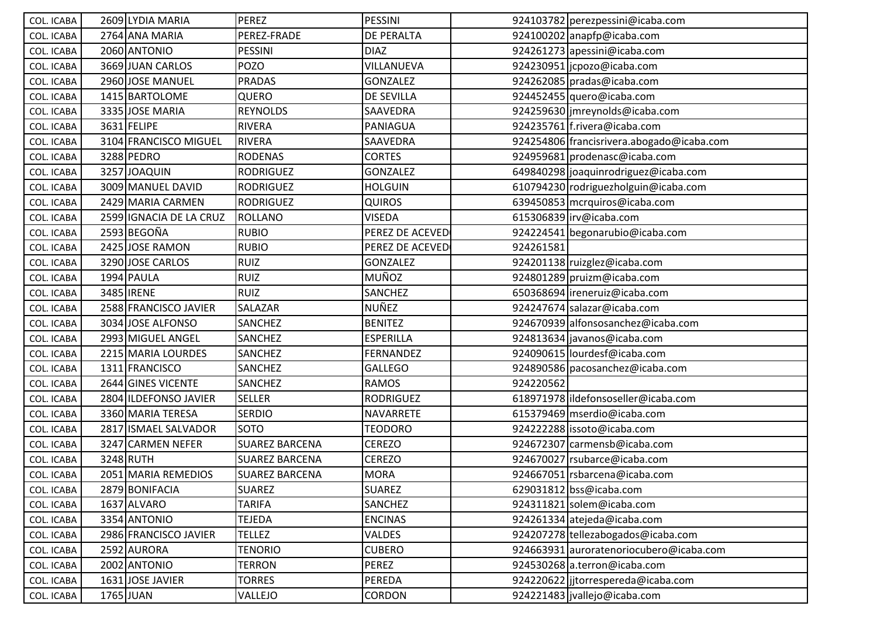| COL. ICABA        | 2609 LYDIA MARIA        | <b>PEREZ</b>          | PESSINI           |           | 924103782 perezpessini@icaba.com          |
|-------------------|-------------------------|-----------------------|-------------------|-----------|-------------------------------------------|
| COL. ICABA        | 2764 ANA MARIA          | PEREZ-FRADE           | DE PERALTA        |           | 924100202 anapfp@icaba.com                |
| COL. ICABA        | 2060 ANTONIO            | PESSINI               | <b>DIAZ</b>       |           | 924261273 apessini@icaba.com              |
| COL. ICABA        | 3669 JUAN CARLOS        | POZO                  | VILLANUEVA        |           | 924230951  jcpozo@icaba.com               |
| COL. ICABA        | 2960 JOSE MANUEL        | <b>PRADAS</b>         | GONZALEZ          |           | 924262085 pradas@icaba.com                |
| <b>COL. ICABA</b> | 1415 BARTOLOME          | QUERO                 | <b>DE SEVILLA</b> |           | 924452455 quero@icaba.com                 |
| COL. ICABA        | 3335 JOSE MARIA         | <b>REYNOLDS</b>       | SAAVEDRA          |           | 924259630 jmreynolds@icaba.com            |
| COL. ICABA        | 3631 FELIPE             | <b>RIVERA</b>         | PANIAGUA          |           | 924235761 f.rivera@icaba.com              |
| COL. ICABA        | 3104 FRANCISCO MIGUEL   | <b>RIVERA</b>         | SAAVEDRA          |           | 924254806 francisrivera.abogado@icaba.com |
| COL. ICABA        | 3288 PEDRO              | <b>RODENAS</b>        | <b>CORTES</b>     |           | 924959681 prodenasc@icaba.com             |
| COL. ICABA        | 3257JJOAQUIN            | <b>RODRIGUEZ</b>      | <b>GONZALEZ</b>   |           | 649840298 joaquinrodriguez@icaba.com      |
| COL. ICABA        | 3009 MANUEL DAVID       | <b>RODRIGUEZ</b>      | <b>HOLGUIN</b>    |           | 610794230 rodriguezholguin@icaba.com      |
| <b>COL. ICABA</b> | 2429 MARIA CARMEN       | <b>RODRIGUEZ</b>      | <b>QUIROS</b>     |           | 639450853 mcrquiros@icaba.com             |
| COL. ICABA        | 2599 IGNACIA DE LA CRUZ | <b>ROLLANO</b>        | <b>VISEDA</b>     |           | 615306839 irv@icaba.com                   |
| COL. ICABA        | 2593 BEGOÑA             | <b>RUBIO</b>          | PEREZ DE ACEVED   |           | 924224541 begonarubio@icaba.com           |
| COL. ICABA        | 2425 JOSE RAMON         | <b>RUBIO</b>          | PEREZ DE ACEVED   | 924261581 |                                           |
| COL. ICABA        | 3290 JOSE CARLOS        | <b>RUIZ</b>           | GONZALEZ          |           | 924201138 ruizglez@icaba.com              |
| <b>COL. ICABA</b> | 1994 PAULA              | <b>RUIZ</b>           | MUÑOZ             |           | 924801289 pruizm@icaba.com                |
| COL. ICABA        | 3485 <b>IRENE</b>       | <b>RUIZ</b>           | SANCHEZ           |           | 650368694 ireneruiz@icaba.com             |
| <b>COL. ICABA</b> | 2588 FRANCISCO JAVIER   | SALAZAR               | NUÑEZ             |           | 924247674 salazar@icaba.com               |
| COL. ICABA        | 3034 JOSE ALFONSO       | <b>SANCHEZ</b>        | <b>BENITEZ</b>    |           | 924670939 alfonsosanchez@icaba.com        |
| COL. ICABA        | 2993 MIGUEL ANGEL       | SANCHEZ               | <b>ESPERILLA</b>  |           | 924813634 javanos@icaba.com               |
| COL. ICABA        | 2215 MARIA LOURDES      | <b>SANCHEZ</b>        | FERNANDEZ         |           | 924090615 lourdesf@icaba.com              |
| COL. ICABA        | 1311 FRANCISCO          | SANCHEZ               | <b>GALLEGO</b>    |           | 924890586 pacosanchez@icaba.com           |
| <b>COL. ICABA</b> | 2644 GINES VICENTE      | <b>SANCHEZ</b>        | <b>RAMOS</b>      | 924220562 |                                           |
| <b>COL. ICABA</b> | 2804 ILDEFONSO JAVIER   | <b>SELLER</b>         | <b>RODRIGUEZ</b>  |           | 618971978 ildefonsoseller@icaba.com       |
| COL. ICABA        | 3360 MARIA TERESA       | <b>SERDIO</b>         | NAVARRETE         |           | 615379469 mserdio@icaba.com               |
| COL. ICABA        | 2817 ISMAEL SALVADOR    | <b>SOTO</b>           | <b>TEODORO</b>    |           | 924222288 issoto@icaba.com                |
| COL. ICABA        | 3247 CARMEN NEFER       | <b>SUAREZ BARCENA</b> | <b>CEREZO</b>     |           | 924672307 carmensb@icaba.com              |
| COL. ICABA        | 3248 RUTH               | <b>SUAREZ BARCENA</b> | <b>CEREZO</b>     |           | 924670027 rsubarce@icaba.com              |
| COL. ICABA        | 2051 MARIA REMEDIOS     | <b>SUAREZ BARCENA</b> | <b>MORA</b>       |           | 924667051 rsbarcena@icaba.com             |
| COL. ICABA        | 2879 BONIFACIA          | <b>SUAREZ</b>         | <b>SUAREZ</b>     |           | 629031812 bss@icaba.com                   |
| COL. ICABA        | 1637 ALVARO             | <b>TARIFA</b>         | SANCHEZ           |           | 924311821 solem@icaba.com                 |
| COL. ICABA        | 3354 ANTONIO            | TEJEDA                | <b>ENCINAS</b>    |           | 924261334 atejeda@icaba.com               |
| COL. ICABA        | 2986 FRANCISCO JAVIER   | <b>TELLEZ</b>         | VALDES            |           | 924207278 tellezabogados@icaba.com        |
| COL. ICABA        | 2592 AURORA             | <b>TENORIO</b>        | <b>CUBERO</b>     |           | 924663931 auroratenoriocubero@icaba.com   |
| COL. ICABA        | 2002 ANTONIO            | <b>TERRON</b>         | PEREZ             |           | 924530268 a.terron@icaba.com              |
| COL. ICABA        | 1631 JOSE JAVIER        | <b>TORRES</b>         | PEREDA            |           | 924220622 ijtorrespereda@icaba.com        |
| COL. ICABA        | 1765 JUAN               | VALLEJO               | CORDON            |           | 924221483 jvallejo@icaba.com              |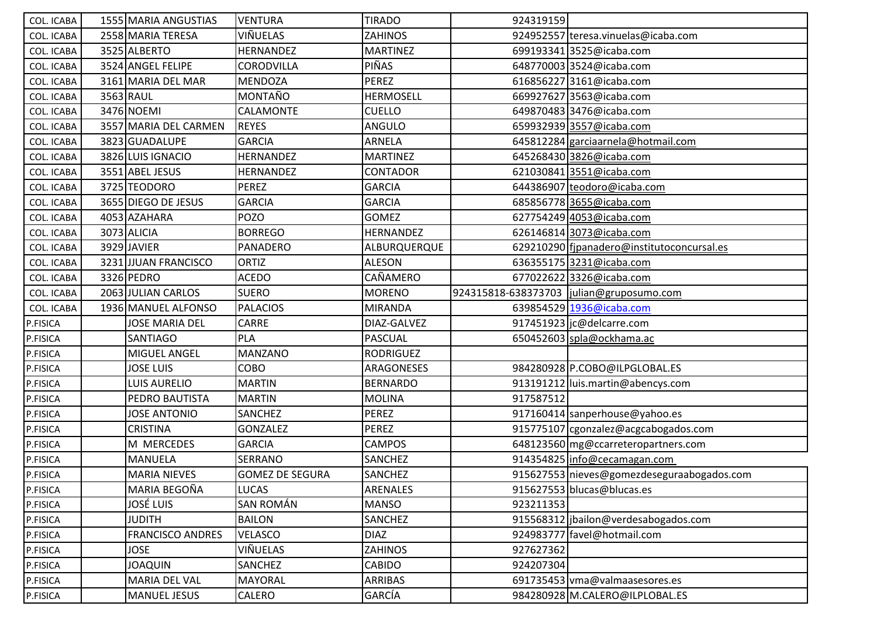| COL. ICABA        | 1555 MARIA ANGUSTIAS    | <b>VENTURA</b>         | <b>TIRADO</b>    | 924319159                                 |                                            |
|-------------------|-------------------------|------------------------|------------------|-------------------------------------------|--------------------------------------------|
| <b>COL. ICABA</b> | 2558 MARIA TERESA       | VIÑUELAS               | <b>ZAHINOS</b>   |                                           | 924952557 teresa.vinuelas@icaba.com        |
| COL. ICABA        | 3525 ALBERTO            | HERNANDEZ              | <b>MARTINEZ</b>  |                                           | 699193341 3525@icaba.com                   |
| <b>COL. ICABA</b> | 3524 ANGEL FELIPE       | CORODVILLA             | PIÑAS            |                                           | 648770003 3524@icaba.com                   |
| COL. ICABA        | 3161 MARIA DEL MAR      | <b>MENDOZA</b>         | <b>PEREZ</b>     |                                           | 6168562273161@icaba.com                    |
| COL. ICABA        | 3563 RAUL               | MONTAÑO                | <b>HERMOSELL</b> |                                           | 669927627 3563@icaba.com                   |
| COL. ICABA        | 3476 NOEMI              | CALAMONTE              | <b>CUELLO</b>    |                                           | 649870483 3476@icaba.com                   |
| COL. ICABA        | 3557 MARIA DEL CARMEN   | <b>REYES</b>           | ANGULO           |                                           | 659932939 3557@icaba.com                   |
| COL. ICABA        | 3823 GUADALUPE          | <b>GARCIA</b>          | ARNELA           |                                           | 645812284 garciaarnela@hotmail.com         |
| COL. ICABA        | 3826 LUIS IGNACIO       | <b>HERNANDEZ</b>       | <b>MARTINEZ</b>  |                                           | 645268430 3826@icaba.com                   |
| <b>COL. ICABA</b> | 3551 ABEL JESUS         | <b>HERNANDEZ</b>       | <b>CONTADOR</b>  |                                           | 621030841 3551@icaba.com                   |
| COL. ICABA        | 3725 TEODORO            | <b>PEREZ</b>           | <b>GARCIA</b>    |                                           | 644386907 teodoro@icaba.com                |
| COL. ICABA        | 3655 DIEGO DE JESUS     | <b>GARCIA</b>          | <b>GARCIA</b>    |                                           | 685856778 3655@icaba.com                   |
| COL. ICABA        | 4053 AZAHARA            | <b>POZO</b>            | <b>GOMEZ</b>     |                                           | 627754249 4053@icaba.com                   |
| COL. ICABA        | 3073 ALICIA             | <b>BORREGO</b>         | HERNANDEZ        |                                           | 626146814 3073@icaba.com                   |
| <b>COL. ICABA</b> | 3929 JAVIER             | PANADERO               | ALBURQUERQUE     |                                           | 629210290 fipanadero@institutoconcursal.es |
| COL. ICABA        | 3231 JJUAN FRANCISCO    | <b>ORTIZ</b>           | <b>ALESON</b>    |                                           | 636355175 3231@icaba.com                   |
| COL. ICABA        | 3326 PEDRO              | <b>ACEDO</b>           | CAÑAMERO         |                                           | 677022622 3326@icaba.com                   |
| COL. ICABA        | 2063 JULIAN CARLOS      | <b>SUERO</b>           | <b>MORENO</b>    | 924315818-638373703  julian@gruposumo.com |                                            |
| COL. ICABA        | 1936 MANUEL ALFONSO     | <b>PALACIOS</b>        | <b>MIRANDA</b>   |                                           | 639854529 1936@icaba.com                   |
| P.FISICA          | <b>JOSE MARIA DEL</b>   | <b>CARRE</b>           | DIAZ-GALVEZ      |                                           | 917451923   jc@delcarre.com                |
| P.FISICA          | SANTIAGO                | PLA                    | <b>PASCUAL</b>   |                                           | 650452603 spla@ockhama.ac                  |
| P.FISICA          | MIGUEL ANGEL            | <b>MANZANO</b>         | <b>RODRIGUEZ</b> |                                           |                                            |
| P.FISICA          | <b>JOSE LUIS</b>        | COBO                   | ARAGONESES       |                                           | 984280928 P.COBO@ILPGLOBAL.ES              |
| P.FISICA          | <b>LUIS AURELIO</b>     | <b>MARTIN</b>          | <b>BERNARDO</b>  |                                           | 913191212 luis.martin@abencys.com          |
| P.FISICA          | PEDRO BAUTISTA          | <b>MARTIN</b>          | <b>MOLINA</b>    | 917587512                                 |                                            |
| P.FISICA          | <b>JOSE ANTONIO</b>     | SANCHEZ                | <b>PEREZ</b>     |                                           | 917160414 sanperhouse@yahoo.es             |
| P.FISICA          | <b>CRISTINA</b>         | GONZALEZ               | <b>PEREZ</b>     |                                           | 915775107 cgonzalez@acgcabogados.com       |
| P.FISICA          | M MERCEDES              | <b>GARCIA</b>          | <b>CAMPOS</b>    |                                           | 648123560 mg@ccarreteropartners.com        |
| P.FISICA          | <b>MANUELA</b>          | <b>SERRANO</b>         | SANCHEZ          |                                           | 914354825 info@cecamagan.com               |
| P.FISICA          | MARIA NIEVES            | <b>GOMEZ DE SEGURA</b> | <b>SANCHEZ</b>   |                                           | 915627553 nieves@gomezdeseguraabogados.com |
| P.FISICA          | MARIA BEGOÑA            | <b>LUCAS</b>           | ARENALES         |                                           | 915627553 blucas@blucas.es                 |
| P.FISICA          | JOSÉ LUIS               | <b>SAN ROMÁN</b>       | <b>MANSO</b>     | 923211353                                 |                                            |
| P.FISICA          | <b>JUDITH</b>           | <b>BAILON</b>          | SANCHEZ          |                                           | 915568312 jbailon@verdesabogados.com       |
| P.FISICA          | <b>FRANCISCO ANDRES</b> | <b>VELASCO</b>         | <b>DIAZ</b>      |                                           | 924983777 favel@hotmail.com                |
| P.FISICA          | <b>JOSE</b>             | VIÑUELAS               | <b>ZAHINOS</b>   | 927627362                                 |                                            |
| P.FISICA          | <b>JOAQUIN</b>          | SANCHEZ                | <b>CABIDO</b>    | 924207304                                 |                                            |
| P.FISICA          | MARIA DEL VAL           | <b>MAYORAL</b>         | ARRIBAS          |                                           | 691735453 vma@valmaasesores.es             |
| P.FISICA          | <b>MANUEL JESUS</b>     | <b>CALERO</b>          | GARCÍA           |                                           | 984280928 M.CALERO@ILPLOBAL.ES             |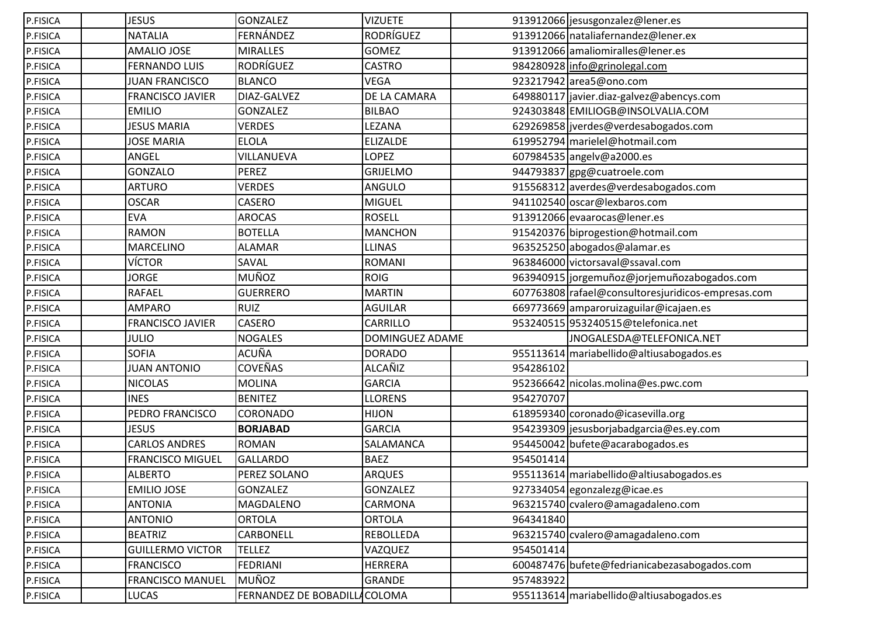| P.FISICA | <b>JESUS</b>            | <b>GONZALEZ</b>              | <b>VIZUETE</b>   |           | 913912066 jesusgonzalez@lener.es                   |
|----------|-------------------------|------------------------------|------------------|-----------|----------------------------------------------------|
| P.FISICA | <b>NATALIA</b>          | FERNÁNDEZ                    | <b>RODRÍGUEZ</b> |           | 913912066 nataliafernandez@lener.ex                |
| P.FISICA | <b>AMALIO JOSE</b>      | <b>MIRALLES</b>              | <b>GOMEZ</b>     |           | 913912066 amaliomiralles@lener.es                  |
| P.FISICA | <b>FERNANDO LUIS</b>    | <b>RODRÍGUEZ</b>             | <b>CASTRO</b>    |           | 984280928 info@grinolegal.com                      |
| P.FISICA | <b>JUAN FRANCISCO</b>   | <b>BLANCO</b>                | <b>VEGA</b>      |           | 923217942 area5@ono.com                            |
| P.FISICA | <b>FRANCISCO JAVIER</b> | DIAZ-GALVEZ                  | DE LA CAMARA     |           | 649880117 javier.diaz-galvez@abencys.com           |
| P.FISICA | <b>EMILIO</b>           | <b>GONZALEZ</b>              | <b>BILBAO</b>    |           | 924303848 EMILIOGB@INSOLVALIA.COM                  |
| P.FISICA | <b>JESUS MARIA</b>      | <b>VERDES</b>                | LEZANA           |           | 629269858 jverdes@verdesabogados.com               |
| P.FISICA | <b>JOSE MARIA</b>       | <b>ELOLA</b>                 | <b>ELIZALDE</b>  |           | 619952794 marielel@hotmail.com                     |
| P.FISICA | ANGEL                   | VILLANUEVA                   | <b>LOPEZ</b>     |           | 607984535 angelv@a2000.es                          |
| P.FISICA | <b>GONZALO</b>          | <b>PEREZ</b>                 | <b>GRIJELMO</b>  |           | 944793837 gpg@cuatroele.com                        |
| P.FISICA | <b>ARTURO</b>           | <b>VERDES</b>                | <b>ANGULO</b>    |           | 915568312 averdes@verdesabogados.com               |
| P.FISICA | <b>OSCAR</b>            | <b>CASERO</b>                | <b>MIGUEL</b>    |           | 941102540 oscar@lexbaros.com                       |
| P.FISICA | <b>EVA</b>              | <b>AROCAS</b>                | <b>ROSELL</b>    |           | 913912066 evaarocas@lener.es                       |
| P.FISICA | <b>RAMON</b>            | <b>BOTELLA</b>               | <b>MANCHON</b>   |           | 915420376 biprogestion@hotmail.com                 |
| P.FISICA | <b>MARCELINO</b>        | <b>ALAMAR</b>                | <b>LLINAS</b>    |           | 963525250 abogados@alamar.es                       |
| P.FISICA | <b>VÍCTOR</b>           | SAVAL                        | <b>ROMANI</b>    |           | 963846000 victorsaval@ssaval.com                   |
| P.FISICA | <b>JORGE</b>            | <b>MUÑOZ</b>                 | <b>ROIG</b>      |           | 963940915 jorgemuñoz@jorjemuñozabogados.com        |
| P.FISICA | <b>RAFAEL</b>           | <b>GUERRERO</b>              | <b>MARTIN</b>    |           | 607763808 rafael@consultoresjuridicos-empresas.com |
| P.FISICA | <b>AMPARO</b>           | <b>RUIZ</b>                  | <b>AGUILAR</b>   |           | 669773669 amparoruizaguilar@icajaen.es             |
| P.FISICA | <b>FRANCISCO JAVIER</b> | CASERO                       | CARRILLO         |           | 953240515 953240515@telefonica.net                 |
| P.FISICA | <b>JULIO</b>            | <b>NOGALES</b>               | DOMINGUEZ ADAME  |           | JNOGALESDA@TELEFONICA.NET                          |
| P.FISICA | <b>SOFIA</b>            | ACUÑA                        | <b>DORADO</b>    |           | 955113614 mariabellido@altiusabogados.es           |
| P.FISICA | <b>JUAN ANTONIO</b>     | <b>COVEÑAS</b>               | ALCAÑIZ          | 954286102 |                                                    |
| P.FISICA | <b>NICOLAS</b>          | <b>MOLINA</b>                | <b>GARCIA</b>    |           | 952366642 nicolas.molina@es.pwc.com                |
| P.FISICA | <b>INES</b>             | <b>BENITEZ</b>               | <b>LLORENS</b>   | 954270707 |                                                    |
| P.FISICA | PEDRO FRANCISCO         | <b>CORONADO</b>              | <b>HIJON</b>     |           | 618959340 coronado@icasevilla.org                  |
| P.FISICA | <b>JESUS</b>            | <b>BORJABAD</b>              | <b>GARCIA</b>    |           | 954239309 jesusborjabadgarcia@es.ey.com            |
| P.FISICA | <b>CARLOS ANDRES</b>    | <b>ROMAN</b>                 | SALAMANCA        |           | 954450042 bufete@acarabogados.es                   |
| P.FISICA | <b>FRANCISCO MIGUEL</b> | <b>GALLARDO</b>              | <b>BAEZ</b>      | 954501414 |                                                    |
| P.FISICA | <b>ALBERTO</b>          | PEREZ SOLANO                 | <b>ARQUES</b>    |           | 955113614 mariabellido@altiusabogados.es           |
| P.FISICA | <b>EMILIO JOSE</b>      | GONZALEZ                     | <b>GONZALEZ</b>  |           | 927334054 egonzalezg@icae.es                       |
| P.FISICA | <b>ANTONIA</b>          | MAGDALENO                    | CARMONA          |           | 963215740 cvalero@amagadaleno.com                  |
| P.FISICA | <b>ANTONIO</b>          | <b>ORTOLA</b>                | <b>ORTOLA</b>    | 964341840 |                                                    |
| P.FISICA | <b>BEATRIZ</b>          | CARBONELL                    | REBOLLEDA        |           | 963215740 cvalero@amagadaleno.com                  |
| P.FISICA | <b>GUILLERMO VICTOR</b> | <b>TELLEZ</b>                | VAZQUEZ          | 954501414 |                                                    |
| P.FISICA | <b>FRANCISCO</b>        | <b>FEDRIANI</b>              | <b>HERRERA</b>   |           | 600487476 bufete@fedrianicabezasabogados.com       |
| P.FISICA | FRANCISCO MANUEL        | <b>MUÑOZ</b>                 | <b>GRANDE</b>    | 957483922 |                                                    |
| P.FISICA | LUCAS                   | FERNANDEZ DE BOBADILLACOLOMA |                  |           | 955113614 mariabellido@altiusabogados.es           |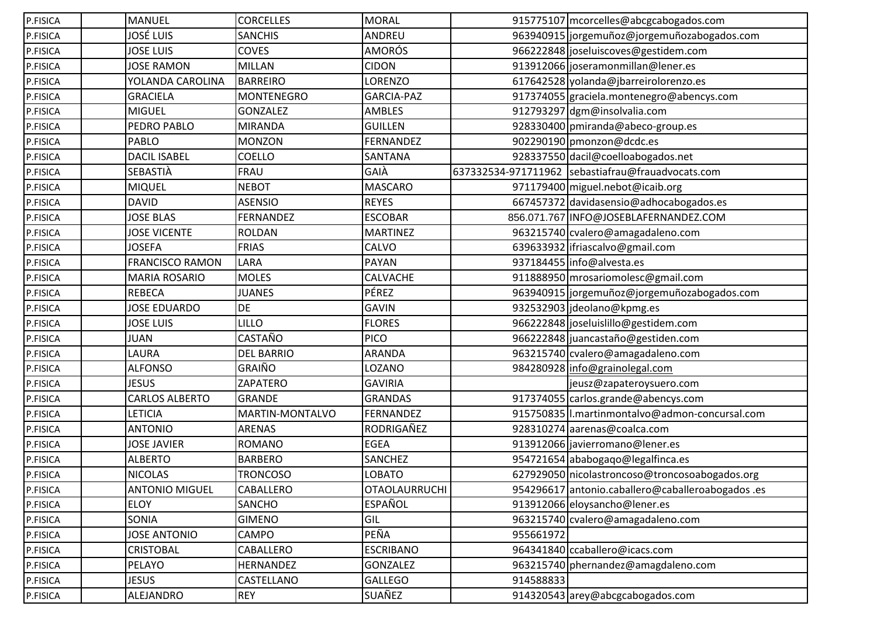| P.FISICA | <b>MANUEL</b>          | <b>CORCELLES</b>  | <b>MORAL</b>         |           | 915775107 mcorcelles@abcgcabogados.com            |
|----------|------------------------|-------------------|----------------------|-----------|---------------------------------------------------|
| P.FISICA | <b>JOSÉ LUIS</b>       | <b>SANCHIS</b>    | ANDREU               |           | 963940915 jorgemuñoz@jorgemuñozabogados.com       |
| P.FISICA | <b>JOSE LUIS</b>       | COVES             | <b>AMORÓS</b>        |           | 966222848 joseluiscoves@gestidem.com              |
| P.FISICA | <b>JOSE RAMON</b>      | <b>MILLAN</b>     | <b>CIDON</b>         |           | 913912066 joseramonmillan@lener.es                |
| P.FISICA | YOLANDA CAROLINA       | <b>BARREIRO</b>   | LORENZO              |           | 617642528 yolanda@jbarreirolorenzo.es             |
| P.FISICA | <b>GRACIELA</b>        | <b>MONTENEGRO</b> | GARCIA-PAZ           |           | 917374055 graciela.montenegro@abencys.com         |
| P.FISICA | <b>MIGUEL</b>          | GONZALEZ          | <b>AMBLES</b>        |           | 912793297 dgm@insolvalia.com                      |
| P.FISICA | PEDRO PABLO            | <b>MIRANDA</b>    | <b>GUILLEN</b>       |           | 928330400 pmiranda@abeco-group.es                 |
| P.FISICA | <b>PABLO</b>           | <b>MONZON</b>     | FERNANDEZ            |           | 902290190 pmonzon@dcdc.es                         |
| P.FISICA | <b>DACIL ISABEL</b>    | <b>COELLO</b>     | SANTANA              |           | 928337550 dacil@coelloabogados.net                |
| P.FISICA | SEBASTIÀ               | FRAU              | GAIÀ                 |           | 637332534-971711962 sebastiafrau@frauadvocats.com |
| P.FISICA | <b>MIQUEL</b>          | <b>NEBOT</b>      | <b>MASCARO</b>       |           | 971179400 miguel.nebot@icaib.org                  |
| P.FISICA | <b>DAVID</b>           | <b>ASENSIO</b>    | <b>REYES</b>         |           | 667457372 davidasensio@adhocabogados.es           |
| P.FISICA | <b>JOSE BLAS</b>       | <b>FERNANDEZ</b>  | <b>ESCOBAR</b>       |           | 856.071.767 INFO@JOSEBLAFERNANDEZ.COM             |
| P.FISICA | <b>JOSE VICENTE</b>    | <b>ROLDAN</b>     | <b>MARTINEZ</b>      |           | 963215740 cvalero@amagadaleno.com                 |
| P.FISICA | <b>JOSEFA</b>          | <b>FRIAS</b>      | CALVO                |           | 639633932 ifriascalvo@gmail.com                   |
| P.FISICA | <b>FRANCISCO RAMON</b> | LARA              | PAYAN                |           | 937184455 info@alvesta.es                         |
| P.FISICA | <b>MARIA ROSARIO</b>   | <b>MOLES</b>      | CALVACHE             |           | 911888950 mrosariomolesc@gmail.com                |
| P.FISICA | <b>REBECA</b>          | <b>JUANES</b>     | PÉREZ                |           | 963940915 jorgemuñoz@jorgemuñozabogados.com       |
| P.FISICA | <b>JOSE EDUARDO</b>    | DE                | <b>GAVIN</b>         |           | 932532903 jdeolano@kpmg.es                        |
| P.FISICA | <b>JOSE LUIS</b>       | LILLO             | <b>FLORES</b>        |           | 966222848 joseluislillo@gestidem.com              |
| P.FISICA | <b>JUAN</b>            | CASTAÑO           | <b>PICO</b>          |           | 966222848 juancastaño@gestiden.com                |
| P.FISICA | LAURA                  | <b>DEL BARRIO</b> | <b>ARANDA</b>        |           | 963215740 cvalero@amagadaleno.com                 |
| P.FISICA | <b>ALFONSO</b>         | <b>GRAIÑO</b>     | LOZANO               |           | 984280928 info@grainolegal.com                    |
| P.FISICA | <b>JESUS</b>           | ZAPATERO          | <b>GAVIRIA</b>       |           | jeusz@zapateroysuero.com                          |
| P.FISICA | <b>CARLOS ALBERTO</b>  | <b>GRANDE</b>     | <b>GRANDAS</b>       |           | 917374055 carlos.grande@abencys.com               |
| P.FISICA | <b>LETICIA</b>         | MARTIN-MONTALVO   | FERNANDEZ            |           | 915750835   I. martinmontalvo@admon-concursal.com |
| P.FISICA | <b>ANTONIO</b>         | <b>ARENAS</b>     | RODRIGAÑEZ           |           | 928310274 aarenas@coalca.com                      |
| P.FISICA | <b>JOSE JAVIER</b>     | ROMANO            | <b>EGEA</b>          |           | 913912066 javierromano@lener.es                   |
| P.FISICA | <b>ALBERTO</b>         | <b>BARBERO</b>    | SANCHEZ              |           | 954721654 ababogaqo@legalfinca.es                 |
| P.FISICA | <b>NICOLAS</b>         | <b>TRONCOSO</b>   | LOBATO               |           | 627929050 nicolastroncoso@troncosoabogados.org    |
| P.FISICA | <b>ANTONIO MIGUEL</b>  | CABALLERO         | <b>OTAOLAURRUCHI</b> |           | 954296617 antonio.caballero@caballeroabogados.es  |
| P.FISICA | <b>ELOY</b>            | SANCHO            | <b>ESPAÑOL</b>       |           | 913912066 eloysancho@lener.es                     |
| P.FISICA | SONIA                  | <b>GIMENO</b>     | GIL                  |           | 963215740 cvalero@amagadaleno.com                 |
| P.FISICA | <b>JOSE ANTONIO</b>    | CAMPO             | PEÑA                 | 955661972 |                                                   |
| P.FISICA | <b>CRISTOBAL</b>       | CABALLERO         | <b>ESCRIBANO</b>     |           | 964341840 ccaballero@icacs.com                    |
| P.FISICA | PELAYO                 | <b>HERNANDEZ</b>  | GONZALEZ             |           | 963215740 phernandez@amagdaleno.com               |
| P.FISICA | <b>JESUS</b>           | CASTELLANO        | GALLEGO              | 914588833 |                                                   |
| P.FISICA | ALEJANDRO              | <b>REY</b>        | SUAÑEZ               |           | 914320543 arey@abcgcabogados.com                  |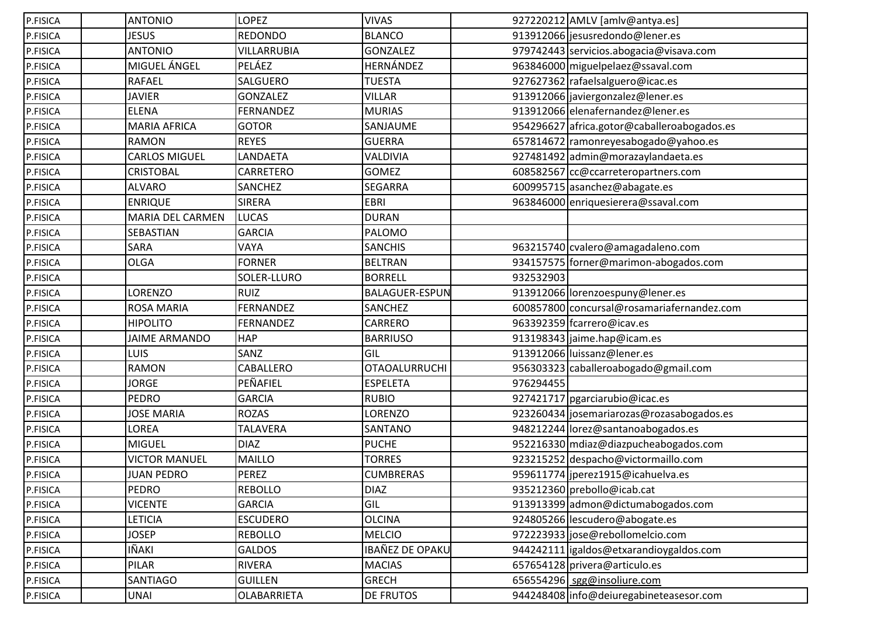| P.FISICA | <b>ANTONIO</b>          | LOPEZ              | <b>VIVAS</b>           |           | 927220212 AMLV [amlv@antya.es]              |
|----------|-------------------------|--------------------|------------------------|-----------|---------------------------------------------|
| P.FISICA | <b>JESUS</b>            | <b>REDONDO</b>     | <b>BLANCO</b>          |           | 913912066 jesusredondo@lener.es             |
| P.FISICA | <b>ANTONIO</b>          | VILLARRUBIA        | <b>GONZALEZ</b>        |           | 979742443 servicios.abogacia@visava.com     |
| P.FISICA | MIGUEL ÁNGEL            | PELÁEZ             | HERNÁNDEZ              |           | 963846000 miguelpelaez@ssaval.com           |
| P.FISICA | <b>RAFAEL</b>           | SALGUERO           | <b>TUESTA</b>          |           | 927627362 rafaelsalguero@icac.es            |
| P.FISICA | <b>JAVIER</b>           | GONZALEZ           | <b>VILLAR</b>          |           | 913912066 javiergonzalez@lener.es           |
| P.FISICA | <b>ELENA</b>            | FERNANDEZ          | <b>MURIAS</b>          |           | 913912066 elenafernandez@lener.es           |
| P.FISICA | <b>MARIA AFRICA</b>     | <b>GOTOR</b>       | SANJAUME               |           | 954296627 africa.gotor@caballeroabogados.es |
| P.FISICA | <b>RAMON</b>            | <b>REYES</b>       | <b>GUERRA</b>          |           | 657814672 ramonreyesabogado@yahoo.es        |
| P.FISICA | <b>CARLOS MIGUEL</b>    | LANDAETA           | VALDIVIA               |           | 927481492 admin@morazaylandaeta.es          |
| P.FISICA | <b>CRISTOBAL</b>        | CARRETERO          | <b>GOMEZ</b>           |           | 608582567 cc@ccarreteropartners.com         |
| P.FISICA | <b>ALVARO</b>           | SANCHEZ            | SEGARRA                |           | 600995715 asanchez@abagate.es               |
| P.FISICA | <b>ENRIQUE</b>          | <b>SIRERA</b>      | <b>EBRI</b>            |           | 963846000 enriquesierera@ssaval.com         |
| P.FISICA | <b>MARIA DEL CARMEN</b> | <b>LUCAS</b>       | <b>DURAN</b>           |           |                                             |
| P.FISICA | SEBASTIAN               | <b>GARCIA</b>      | <b>PALOMO</b>          |           |                                             |
| P.FISICA | <b>SARA</b>             | VAYA               | <b>SANCHIS</b>         |           | 963215740 cvalero@amagadaleno.com           |
| P.FISICA | <b>OLGA</b>             | <b>FORNER</b>      | <b>BELTRAN</b>         |           | 934157575 forner@marimon-abogados.com       |
| P.FISICA |                         | SOLER-LLURO        | <b>BORRELL</b>         | 932532903 |                                             |
| P.FISICA | LORENZO                 | <b>RUIZ</b>        | <b>BALAGUER-ESPUN</b>  |           | 913912066 lorenzoespuny@lener.es            |
| P.FISICA | <b>ROSA MARIA</b>       | <b>FERNANDEZ</b>   | <b>SANCHEZ</b>         |           | 600857800 concursal@rosamariafernandez.com  |
| P.FISICA | <b>HIPOLITO</b>         | <b>FERNANDEZ</b>   | CARRERO                |           | 963392359 fcarrero@icav.es                  |
| P.FISICA | <b>JAIME ARMANDO</b>    | <b>HAP</b>         | <b>BARRIUSO</b>        |           | 913198343 jaime.hap@icam.es                 |
| P.FISICA | <b>LUIS</b>             | SANZ               | GIL                    |           | 913912066 luissanz@lener.es                 |
| P.FISICA | <b>RAMON</b>            | CABALLERO          | <b>OTAOALURRUCHI</b>   |           | 956303323 caballeroabogado@gmail.com        |
| P.FISICA | <b>JORGE</b>            | PEÑAFIEL           | <b>ESPELETA</b>        | 976294455 |                                             |
| P.FISICA | PEDRO                   | <b>GARCIA</b>      | <b>RUBIO</b>           |           | 927421717 pgarciarubio@icac.es              |
| P.FISICA | <b>JOSE MARIA</b>       | <b>ROZAS</b>       | LORENZO                |           | 923260434 josemariarozas@rozasabogados.es   |
| P.FISICA | LOREA                   | <b>TALAVERA</b>    | SANTANO                |           | 948212244 lorez@santanoabogados.es          |
| P.FISICA | <b>MIGUEL</b>           | <b>DIAZ</b>        | <b>PUCHE</b>           |           | 952216330 mdiaz@diazpucheabogados.com       |
| P.FISICA | <b>VICTOR MANUEL</b>    | <b>MAILLO</b>      | <b>TORRES</b>          |           | 923215252 despacho@victormaillo.com         |
| P.FISICA | <b>JUAN PEDRO</b>       | PEREZ              | <b>CUMBRERAS</b>       |           | 959611774 iperez1915@icahuelva.es           |
| P.FISICA | <b>PEDRO</b>            | <b>REBOLLO</b>     | <b>DIAZ</b>            |           | 935212360 prebollo@icab.cat                 |
| P.FISICA | <b>VICENTE</b>          | <b>GARCIA</b>      | GIL                    |           | 913913399 admon@dictumabogados.com          |
| P.FISICA | LETICIA                 | <b>ESCUDERO</b>    | <b>OLCINA</b>          |           | 924805266 lescudero@abogate.es              |
| P.FISICA | <b>JOSEP</b>            | <b>REBOLLO</b>     | <b>MELCIO</b>          |           | 972223933 jose@rebollomelcio.com            |
| P.FISICA | IÑAKI                   | <b>GALDOS</b>      | <b>IBAÑEZ DE OPAKU</b> |           | 944242111   igaldos@etxarandioygaldos.com   |
| P.FISICA | PILAR                   | RIVERA             | <b>MACIAS</b>          |           | 657654128 privera@articulo.es               |
| P.FISICA | <b>SANTIAGO</b>         | <b>GUILLEN</b>     | <b>GRECH</b>           |           | 656554296 sgg@insoliure.com                 |
| P.FISICA | <b>UNAI</b>             | <b>OLABARRIETA</b> | DE FRUTOS              |           | 944248408 info@deiuregabineteasesor.com     |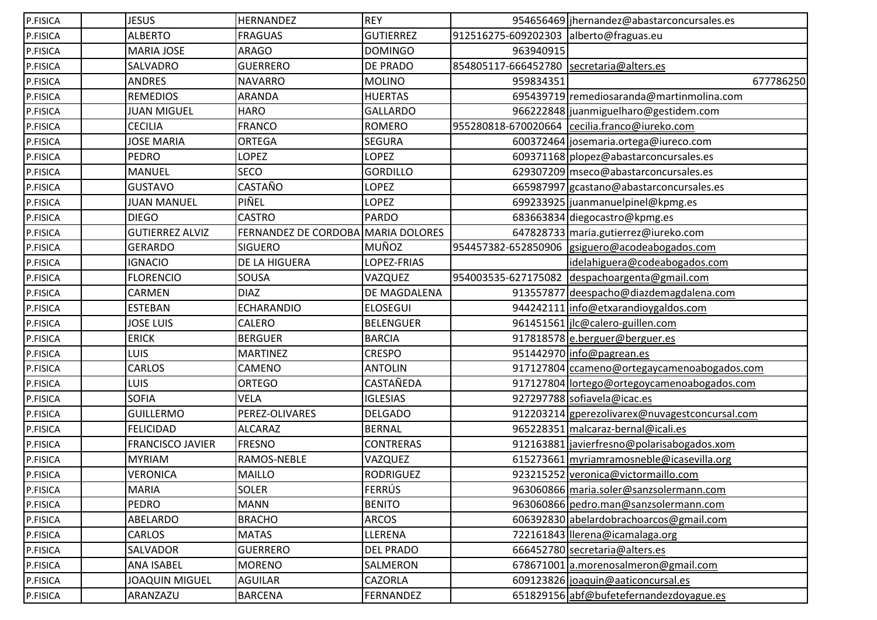| P.FISICA | <b>JESUS</b>            | <b>HERNANDEZ</b>                   | <b>REY</b>       |                     | 954656469 jhernandez@abastarconcursales.es      |
|----------|-------------------------|------------------------------------|------------------|---------------------|-------------------------------------------------|
| P.FISICA | <b>ALBERTO</b>          | <b>FRAGUAS</b>                     | <b>GUTIERREZ</b> | 912516275-609202303 | alberto@fraguas.eu                              |
| P.FISICA | <b>MARIA JOSE</b>       | <b>ARAGO</b>                       | <b>DOMINGO</b>   | 963940915           |                                                 |
| P.FISICA | SALVADRO                | <b>GUERRERO</b>                    | <b>DE PRADO</b>  | 854805117-666452780 | secretaria@alters.es                            |
| P.FISICA | <b>ANDRES</b>           | <b>NAVARRO</b>                     | <b>MOLINO</b>    | 959834351           | 677786250                                       |
| P.FISICA | <b>REMEDIOS</b>         | <b>ARANDA</b>                      | <b>HUERTAS</b>   |                     | 695439719 remediosaranda@martinmolina.com       |
| P.FISICA | <b>JUAN MIGUEL</b>      | <b>HARO</b>                        | <b>GALLARDO</b>  |                     | 966222848 Juanmiguelharo@gestidem.com           |
| P.FISICA | <b>CECILIA</b>          | <b>FRANCO</b>                      | <b>ROMERO</b>    |                     | 955280818-670020664 cecilia.franco@iureko.com   |
| P.FISICA | <b>JOSE MARIA</b>       | <b>ORTEGA</b>                      | <b>SEGURA</b>    |                     | 600372464 josemaria.ortega@iureco.com           |
| P.FISICA | <b>PEDRO</b>            | LOPEZ                              | LOPEZ            |                     | 609371168 plopez@abastarconcursales.es          |
| P.FISICA | <b>MANUEL</b>           | SECO                               | <b>GORDILLO</b>  |                     | 629307209 mseco@abastarconcursales.es           |
| P.FISICA | <b>GUSTAVO</b>          | CASTAÑO                            | LOPEZ            |                     | 665987997 gcastano@abastarconcursales.es        |
| P.FISICA | <b>JUAN MANUEL</b>      | PIÑEL                              | LOPEZ            |                     | 699233925 juanmanuelpinel@kpmg.es               |
| P.FISICA | <b>DIEGO</b>            | <b>CASTRO</b>                      | <b>PARDO</b>     |                     | 683663834 diegocastro@kpmg.es                   |
| P.FISICA | <b>GUTIERREZ ALVIZ</b>  | FERNANDEZ DE CORDOBA MARIA DOLORES |                  |                     | 647828733 maria.gutierrez@iureko.com            |
| P.FISICA | <b>GERARDO</b>          | <b>SIGUERO</b>                     | <b>MUÑOZ</b>     |                     | 954457382-652850906  gsiguero@acodeabogados.com |
| P.FISICA | <b>IGNACIO</b>          | DE LA HIGUERA                      | LOPEZ-FRIAS      |                     | idelahiguera@codeabogados.com                   |
| P.FISICA | <b>FLORENCIO</b>        | SOUSA                              | VAZQUEZ          | 954003535-627175082 | despachoargenta@gmail.com                       |
| P.FISICA | CARMEN                  | <b>DIAZ</b>                        | DE MAGDALENA     |                     | 913557877 deespacho@diazdemagdalena.com         |
| P.FISICA | <b>ESTEBAN</b>          | <b>ECHARANDIO</b>                  | <b>ELOSEGUI</b>  |                     | 944242111 info@etxarandioygaldos.com            |
| P.FISICA | <b>JOSE LUIS</b>        | CALERO                             | <b>BELENGUER</b> |                     | 961451561 jlc@calero-guillen.com                |
| P.FISICA | <b>ERICK</b>            | <b>BERGUER</b>                     | <b>BARCIA</b>    |                     | 917818578 e.berguer@berguer.es                  |
| P.FISICA | LUIS                    | <b>MARTINEZ</b>                    | <b>CRESPO</b>    |                     | 951442970 info@pagrean.es                       |
| P.FISICA | CARLOS                  | CAMENO                             | <b>ANTOLIN</b>   |                     | 917127804 ccameno@ortegaycamenoabogados.com     |
| P.FISICA | LUIS                    | <b>ORTEGO</b>                      | CASTAÑEDA        |                     | 917127804 lortego@ortegoycamenoabogados.com     |
| P.FISICA | <b>SOFIA</b>            | <b>VELA</b>                        | <b>IGLESIAS</b>  |                     | 927297788 sofiavela@icac.es                     |
| P.FISICA | <b>GUILLERMO</b>        | PEREZ-OLIVARES                     | <b>DELGADO</b>   |                     | 912203214 gperezolivarex@nuvagestconcursal.com  |
| P.FISICA | <b>FELICIDAD</b>        | <b>ALCARAZ</b>                     | <b>BERNAL</b>    |                     | 965228351 malcaraz-bernal@icali.es              |
| P.FISICA | <b>FRANCISCO JAVIER</b> | <b>FRESNO</b>                      | <b>CONTRERAS</b> |                     | 912163881 javierfresno@polarisabogados.xom      |
| P.FISICA | <b>MYRIAM</b>           | RAMOS-NEBLE                        | VAZQUEZ          |                     | 615273661 myriamramosneble@icasevilla.org       |
| P.FISICA | <b>VERONICA</b>         | <b>MAILLO</b>                      | <b>RODRIGUEZ</b> |                     | 923215252 veronica@victormaillo.com             |
| P.FISICA | <b>MARIA</b>            | <b>SOLER</b>                       | <b>FERRÚS</b>    |                     | 963060866 maria.soler@sanzsolermann.com         |
| P.FISICA | <b>PEDRO</b>            | <b>MANN</b>                        | <b>BENITO</b>    |                     | 963060866 pedro.man@sanzsolermann.com           |
| P.FISICA | ABELARDO                | <b>BRACHO</b>                      | <b>ARCOS</b>     |                     | 606392830 abelardobrachoarcos@gmail.com         |
| P.FISICA | CARLOS                  | <b>MATAS</b>                       | LLERENA          |                     | 722161843 Ilerena@icamalaga.org                 |
| P.FISICA | SALVADOR                | <b>GUERRERO</b>                    | <b>DEL PRADO</b> |                     | 666452780 secretaria@alters.es                  |
| P.FISICA | <b>ANA ISABEL</b>       | <b>MORENO</b>                      | SALMERON         |                     | 678671001 a.morenosalmeron@gmail.com            |
| P.FISICA | <b>JOAQUIN MIGUEL</b>   | <b>AGUILAR</b>                     | CAZORLA          |                     | 609123826 joaquin@aaticoncursal.es              |
| P.FISICA | ARANZAZU                | <b>BARCENA</b>                     | <b>FERNANDEZ</b> |                     | 651829156 abf@bufetefernandezdoyague.es         |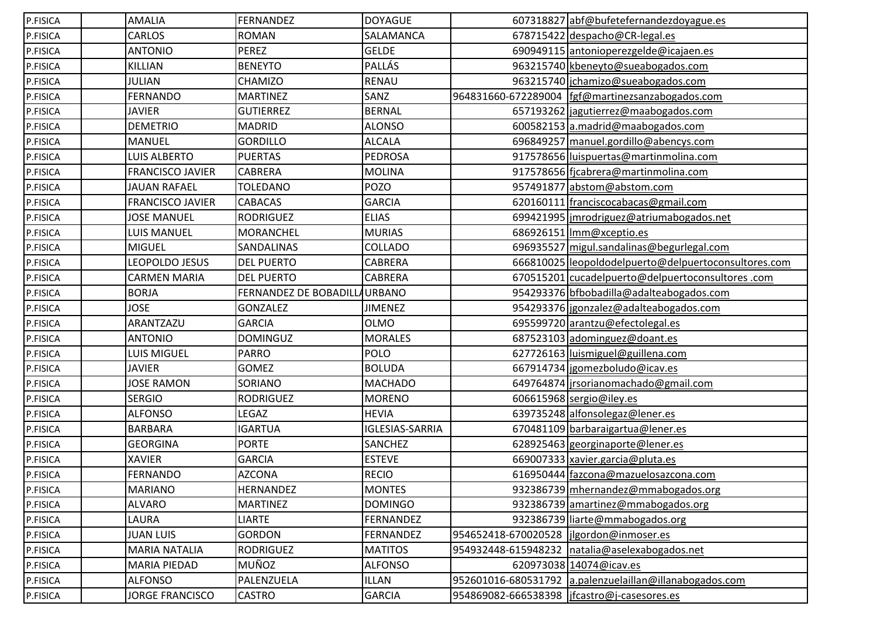| P.FISICA | <b>AMALIA</b>           | <b>FERNANDEZ</b>             | <b>DOYAGUE</b>         |                                              | 607318827 abf@bufetefernandezdoyague.es                 |
|----------|-------------------------|------------------------------|------------------------|----------------------------------------------|---------------------------------------------------------|
| P.FISICA | CARLOS                  | <b>ROMAN</b>                 | SALAMANCA              |                                              | 678715422 despacho@CR-legal.es                          |
| P.FISICA | <b>ANTONIO</b>          | <b>PEREZ</b>                 | <b>GELDE</b>           |                                              | 690949115 antonioperezgelde@icajaen.es                  |
| P.FISICA | KILLIAN                 | <b>BENEYTO</b>               | PALLÁS                 |                                              | 963215740 kbeneyto@sueabogados.com                      |
| P.FISICA | <b>JULIAN</b>           | CHAMIZO                      | <b>RENAU</b>           |                                              | 963215740 jchamizo@sueabogados.com                      |
| P.FISICA | <b>FERNANDO</b>         | <b>MARTINEZ</b>              | SANZ                   |                                              | 964831660-672289004 fgf@martinezsanzabogados.com        |
| P.FISICA | <b>JAVIER</b>           | <b>GUTIERREZ</b>             | <b>BERNAL</b>          |                                              | 657193262 jagutierrez@maabogados.com                    |
| P.FISICA | <b>DEMETRIO</b>         | <b>MADRID</b>                | <b>ALONSO</b>          |                                              | 600582153 a.madrid@maabogados.com                       |
| P.FISICA | <b>MANUEL</b>           | <b>GORDILLO</b>              | <b>ALCALA</b>          |                                              | 696849257 manuel.gordillo@abencys.com                   |
| P.FISICA | LUIS ALBERTO            | <b>PUERTAS</b>               | <b>PEDROSA</b>         |                                              | 917578656 luispuertas@martinmolina.com                  |
| P.FISICA | <b>FRANCISCO JAVIER</b> | CABRERA                      | <b>MOLINA</b>          |                                              | 917578656 fjcabrera@martinmolina.com                    |
| P.FISICA | <b>JAUAN RAFAEL</b>     | <b>TOLEDANO</b>              | <b>POZO</b>            |                                              | 957491877 abstom@abstom.com                             |
| P.FISICA | <b>FRANCISCO JAVIER</b> | <b>CABACAS</b>               | <b>GARCIA</b>          |                                              | 620160111 franciscocabacas@gmail.com                    |
| P.FISICA | <b>JOSE MANUEL</b>      | <b>RODRIGUEZ</b>             | <b>ELIAS</b>           |                                              | 699421995   imrodriguez@atriumabogados.net              |
| P.FISICA | LUIS MANUEL             | <b>MORANCHEL</b>             | <b>MURIAS</b>          |                                              | 686926151   Imm@xceptio.es                              |
| P.FISICA | <b>MIGUEL</b>           | SANDALINAS                   | COLLADO                |                                              | 696935527 migul.sandalinas@begurlegal.com               |
| P.FISICA | LEOPOLDO JESUS          | <b>DEL PUERTO</b>            | CABRERA                |                                              | 666810025 leopoldodelpuerto@delpuertoconsultores.com    |
| P.FISICA | <b>CARMEN MARIA</b>     | <b>DEL PUERTO</b>            | CABRERA                |                                              | 670515201 cucadelpuerto@delpuertoconsultores.com        |
| P.FISICA | <b>BORJA</b>            | FERNANDEZ DE BOBADILLAURBANO |                        |                                              | 954293376 bfbobadilla@adalteabogados.com                |
| P.FISICA | <b>JOSE</b>             | <b>GONZALEZ</b>              | <b>JIMENEZ</b>         |                                              | 954293376 jgonzalez@adalteabogados.com                  |
| P.FISICA | ARANTZAZU               | <b>GARCIA</b>                | <b>OLMO</b>            |                                              | 695599720 arantzu@efectolegal.es                        |
| P.FISICA | <b>ANTONIO</b>          | <b>DOMINGUZ</b>              | <b>MORALES</b>         |                                              | 687523103 adominguez@doant.es                           |
| P.FISICA | LUIS MIGUEL             | <b>PARRO</b>                 | POLO                   |                                              | 627726163   luismiguel@guillena.com                     |
| P.FISICA | <b>JAVIER</b>           | GOMEZ                        | <b>BOLUDA</b>          |                                              | 667914734 jgomezboludo@icav.es                          |
| P.FISICA | <b>JOSE RAMON</b>       | SORIANO                      | <b>MACHADO</b>         |                                              | 649764874   jrsorianomachado@gmail.com                  |
| P.FISICA | <b>SERGIO</b>           | <b>RODRIGUEZ</b>             | <b>MORENO</b>          |                                              | 606615968 sergio@iley.es                                |
| P.FISICA | <b>ALFONSO</b>          | LEGAZ                        | <b>HEVIA</b>           |                                              | 639735248 alfonsolegaz@lener.es                         |
| P.FISICA | <b>BARBARA</b>          | <b>IGARTUA</b>               | <b>IGLESIAS-SARRIA</b> |                                              | 670481109 barbaraigartua@lener.es                       |
| P.FISICA | <b>GEORGINA</b>         | <b>PORTE</b>                 | SANCHEZ                |                                              | 628925463 georginaporte@lener.es                        |
| P.FISICA | <b>XAVIER</b>           | <b>GARCIA</b>                | <b>ESTEVE</b>          |                                              | 669007333 xavier.garcia@pluta.es                        |
| P.FISICA | <b>FERNANDO</b>         | <b>AZCONA</b>                | <b>RECIO</b>           |                                              | 616950444 fazcona@mazuelosazcona.com                    |
| P.FISICA | <b>MARIANO</b>          | HERNANDEZ                    | <b>MONTES</b>          |                                              | 932386739 mhernandez@mmabogados.org                     |
| P.FISICA | <b>ALVARO</b>           | <b>MARTINEZ</b>              | <b>DOMINGO</b>         |                                              | 932386739 amartinez@mmabogados.org                      |
| P.FISICA | LAURA                   | <b>LIARTE</b>                | FERNANDEZ              |                                              | 932386739 liarte@mmabogados.org                         |
| P.FISICA | <b>JUAN LUIS</b>        | <b>GORDON</b>                | <b>FERNANDEZ</b>       | 954652418-670020528   jlgordon@inmoser.es    |                                                         |
| P.FISICA | <b>MARIA NATALIA</b>    | <b>RODRIGUEZ</b>             | <b>MATITOS</b>         | 954932448-615948232                          | natalia@aselexabogados.net                              |
| P.FISICA | MARIA PIEDAD            | MUÑOZ                        | <b>ALFONSO</b>         |                                              | 620973038 14074@icav.es                                 |
| P.FISICA | <b>ALFONSO</b>          | PALENZUELA                   | <b>ILLAN</b>           |                                              | 952601016-680531792 a.palenzuelaillan@illanabogados.com |
| P.FISICA | <b>JORGE FRANCISCO</b>  | <b>CASTRO</b>                | <b>GARCIA</b>          | 954869082-666538398  jfcastro@j-casesores.es |                                                         |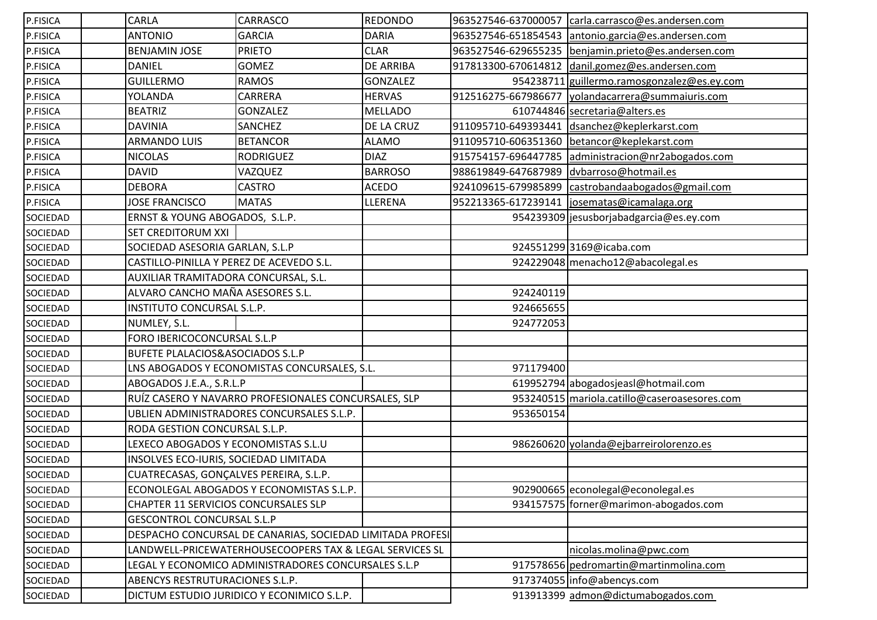| P.FISICA | CARLA                                                   | CARRASCO                                                  | <b>REDONDO</b>   | 963527546-637000057 | carla.carrasco@es.andersen.com               |
|----------|---------------------------------------------------------|-----------------------------------------------------------|------------------|---------------------|----------------------------------------------|
| P.FISICA | <b>ANTONIO</b>                                          | <b>GARCIA</b>                                             | <b>DARIA</b>     | 963527546-651854543 | antonio.garcia@es.andersen.com               |
| P.FISICA | <b>BENJAMIN JOSE</b>                                    | <b>PRIETO</b>                                             | <b>CLAR</b>      | 963527546-629655235 | benjamin.prieto@es.andersen.com              |
| P.FISICA | <b>DANIEL</b>                                           | <b>GOMEZ</b>                                              | <b>DE ARRIBA</b> | 917813300-670614812 | danil.gomez@es.andersen.com                  |
| P.FISICA | <b>GUILLERMO</b>                                        | <b>RAMOS</b>                                              | <b>GONZALEZ</b>  |                     | 954238711 guillermo.ramosgonzalez@es.ey.com  |
| P.FISICA | YOLANDA                                                 | CARRERA                                                   | <b>HERVAS</b>    | 912516275-667986677 | yolandacarrera@summaiuris.com                |
| P.FISICA | <b>BEATRIZ</b>                                          | <b>GONZALEZ</b>                                           | <b>MELLADO</b>   |                     | 610744846 secretaria@alters.es               |
| P.FISICA | <b>DAVINIA</b>                                          | SANCHEZ                                                   | DE LA CRUZ       | 911095710-649393441 | dsanchez@keplerkarst.com                     |
| P.FISICA | <b>ARMANDO LUIS</b>                                     | <b>BETANCOR</b>                                           | <b>ALAMO</b>     | 911095710-606351360 | betancor@keplekarst.com                      |
| P.FISICA | <b>NICOLAS</b>                                          | <b>RODRIGUEZ</b>                                          | <b>DIAZ</b>      | 915754157-696447785 | administracion@nr2abogados.com               |
| P.FISICA | <b>DAVID</b>                                            | VAZQUEZ                                                   | <b>BARROSO</b>   | 988619849-647687989 | dvbarroso@hotmail.es                         |
| P.FISICA | <b>DEBORA</b>                                           | <b>CASTRO</b>                                             | <b>ACEDO</b>     | 924109615-679985899 | castrobandaabogados@gmail.com                |
| P.FISICA | <b>JOSE FRANCISCO</b>                                   | <b>MATAS</b>                                              | LLERENA          | 952213365-617239141 | josematas@icamalaga.org                      |
| SOCIEDAD | ERNST & YOUNG ABOGADOS, S.L.P.                          |                                                           |                  |                     | 954239309 jesusborjabadgarcia@es.ey.com      |
| SOCIEDAD | SET CREDITORUM XXI                                      |                                                           |                  |                     |                                              |
| SOCIEDAD | SOCIEDAD ASESORIA GARLAN, S.L.P                         |                                                           |                  |                     | 924551299 3169@icaba.com                     |
| SOCIEDAD | CASTILLO-PINILLA Y PEREZ DE ACEVEDO S.L.                |                                                           |                  |                     | 924229048 menacho12@abacolegal.es            |
| SOCIEDAD | AUXILIAR TRAMITADORA CONCURSAL, S.L.                    |                                                           |                  |                     |                                              |
| SOCIEDAD | ALVARO CANCHO MAÑA ASESORES S.L.                        |                                                           |                  | 924240119           |                                              |
| SOCIEDAD | INSTITUTO CONCURSAL S.L.P.                              |                                                           |                  | 924665655           |                                              |
| SOCIEDAD | NUMLEY, S.L.                                            |                                                           |                  | 924772053           |                                              |
| SOCIEDAD | FORO IBERICOCONCURSAL S.L.P                             |                                                           |                  |                     |                                              |
| SOCIEDAD | BUFETE PLALACIOS&ASOCIADOS S.L.P                        |                                                           |                  |                     |                                              |
| SOCIEDAD |                                                         | LNS ABOGADOS Y ECONOMISTAS CONCURSALES, S.L.              |                  | 971179400           |                                              |
| SOCIEDAD | ABOGADOS J.E.A., S.R.L.P                                |                                                           |                  |                     | 619952794 abogadosjeasl@hotmail.com          |
| SOCIEDAD |                                                         | RUÍZ CASERO Y NAVARRO PROFESIONALES CONCURSALES, SLP      |                  |                     | 953240515 mariola.catillo@caseroasesores.com |
| SOCIEDAD |                                                         | UBLIEN ADMINISTRADORES CONCURSALES S.L.P.                 |                  | 953650154           |                                              |
| SOCIEDAD | RODA GESTION CONCURSAL S.L.P.                           |                                                           |                  |                     |                                              |
| SOCIEDAD | LEXECO ABOGADOS Y ECONOMISTAS S.L.U                     |                                                           |                  |                     | 986260620 yolanda@ejbarreirolorenzo.es       |
| SOCIEDAD | INSOLVES ECO-IURIS, SOCIEDAD LIMITADA                   |                                                           |                  |                     |                                              |
| SOCIEDAD | CUATRECASAS, GONÇALVES PEREIRA, S.L.P.                  |                                                           |                  |                     |                                              |
| SOCIEDAD | ECONOLEGAL ABOGADOS Y ECONOMISTAS S.L.P.                |                                                           |                  |                     | 902900665 econolegal@econolegal.es           |
| SOCIEDAD | CHAPTER 11 SERVICIOS CONCURSALES SLP                    |                                                           |                  |                     | 934157575 forner@marimon-abogados.com        |
| SOCIEDAD | <b>GESCONTROL CONCURSAL S.L.P</b>                       |                                                           |                  |                     |                                              |
| SOCIEDAD |                                                         | DESPACHO CONCURSAL DE CANARIAS, SOCIEDAD LIMITADA PROFESI |                  |                     |                                              |
| SOCIEDAD | LANDWELL-PRICEWATERHOUSECOOPERS TAX & LEGAL SERVICES SL |                                                           |                  |                     | nicolas.molina@pwc.com                       |
| SOCIEDAD |                                                         | LEGAL Y ECONOMICO ADMINISTRADORES CONCURSALES S.L.P       |                  |                     | 917578656 pedromartin@martinmolina.com       |
| SOCIEDAD | ABENCYS RESTRUTURACIONES S.L.P.                         |                                                           |                  |                     | 917374055 info@abencys.com                   |
| SOCIEDAD |                                                         | DICTUM ESTUDIO JURIDICO Y ECONIMICO S.L.P.                |                  |                     | 913913399 admon@dictumabogados.com           |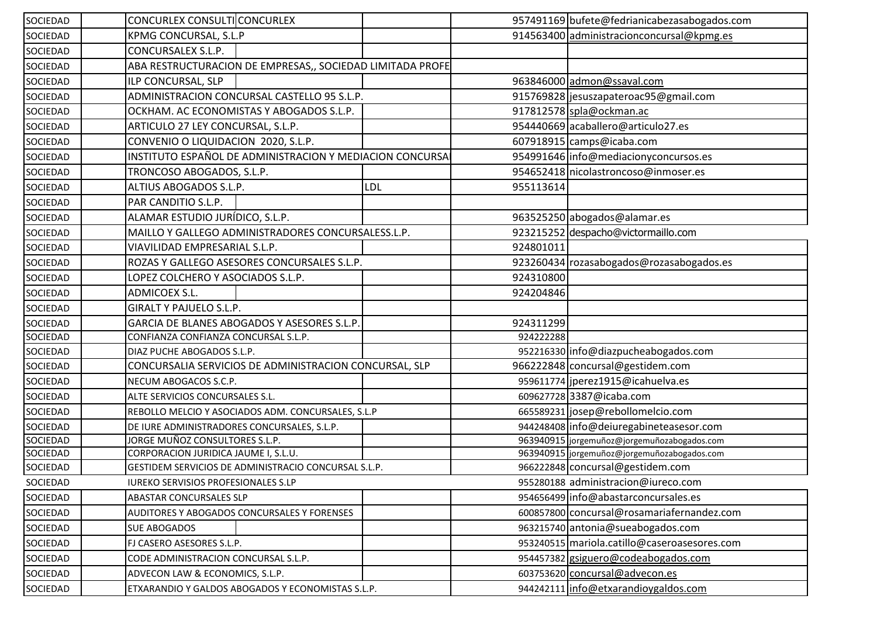| SOCIEDAD | CONCURLEX CONSULTICONCURLEX                               |           | 957491169 bufete@fedrianicabezasabogados.com |
|----------|-----------------------------------------------------------|-----------|----------------------------------------------|
| SOCIEDAD | KPMG CONCURSAL, S.L.P                                     |           | 914563400 administracionconcursal@kpmg.es    |
| SOCIEDAD | CONCURSALEX S.L.P.                                        |           |                                              |
| SOCIEDAD | ABA RESTRUCTURACION DE EMPRESAS,, SOCIEDAD LIMITADA PROFE |           |                                              |
| SOCIEDAD | ILP CONCURSAL, SLP                                        |           | 963846000 admon@ssaval.com                   |
| SOCIEDAD | ADMINISTRACION CONCURSAL CASTELLO 95 S.L.P.               |           | 915769828 jesuszapateroac95@gmail.com        |
| SOCIEDAD | OCKHAM. AC ECONOMISTAS Y ABOGADOS S.L.P.                  |           | 917812578 spla@ockman.ac                     |
| SOCIEDAD | ARTICULO 27 LEY CONCURSAL, S.L.P.                         |           | 954440669 acaballero@articulo27.es           |
| SOCIEDAD | CONVENIO O LIQUIDACION 2020, S.L.P.                       |           | 607918915 camps@icaba.com                    |
| SOCIEDAD | INSTITUTO ESPAÑOL DE ADMINISTRACION Y MEDIACION CONCURSA  |           | 954991646 info@mediacionyconcursos.es        |
| SOCIEDAD | TRONCOSO ABOGADOS, S.L.P.                                 |           | 954652418 nicolastroncoso@inmoser.es         |
| SOCIEDAD | ALTIUS ABOGADOS S.L.P.<br><b>LDL</b>                      | 955113614 |                                              |
| SOCIEDAD | PAR CANDITIO S.L.P.                                       |           |                                              |
| SOCIEDAD | ALAMAR ESTUDIO JURÍDICO, S.L.P.                           |           | 963525250 abogados@alamar.es                 |
| SOCIEDAD | MAILLO Y GALLEGO ADMINISTRADORES CONCURSALESS.L.P.        |           | 923215252 despacho@victormaillo.com          |
| SOCIEDAD | VIAVILIDAD EMPRESARIAL S.L.P.                             | 924801011 |                                              |
| SOCIEDAD | ROZAS Y GALLEGO ASESORES CONCURSALES S.L.P.               |           | 923260434 rozasabogados@rozasabogados.es     |
| SOCIEDAD | LOPEZ COLCHERO Y ASOCIADOS S.L.P.                         | 924310800 |                                              |
| SOCIEDAD | ADMICOEX S.L.                                             | 924204846 |                                              |
| SOCIEDAD | GIRALT Y PAJUELO S.L.P.                                   |           |                                              |
| SOCIEDAD | GARCIA DE BLANES ABOGADOS Y ASESORES S.L.P.               | 924311299 |                                              |
| SOCIEDAD | CONFIANZA CONFIANZA CONCURSAL S.L.P.                      | 924222288 |                                              |
| SOCIEDAD | DIAZ PUCHE ABOGADOS S.L.P.                                |           | 952216330 info@diazpucheabogados.com         |
| SOCIEDAD | CONCURSALIA SERVICIOS DE ADMINISTRACION CONCURSAL, SLP    |           | 966222848 concursal@gestidem.com             |
| SOCIEDAD | NECUM ABOGACOS S.C.P.                                     |           | 959611774 jperez1915@icahuelva.es            |
| SOCIEDAD | ALTE SERVICIOS CONCURSALES S.L.                           |           | 609627728 3387@icaba.com                     |
| SOCIEDAD | REBOLLO MELCIO Y ASOCIADOS ADM. CONCURSALES, S.L.P        |           | 665589231 josep@rebollomelcio.com            |
| SOCIEDAD | DE IURE ADMINISTRADORES CONCURSALES, S.L.P.               |           | 944248408 info@deiuregabineteasesor.com      |
| SOCIEDAD | JORGE MUÑOZ CONSULTORES S.L.P.                            |           | 963940915 jorgemuñoz@jorgemuñozabogados.com  |
| SOCIEDAD | CORPORACION JURIDICA JAUME I, S.L.U.                      |           | 963940915 jorgemuñoz@jorgemuñozabogados.com  |
| SOCIEDAD | GESTIDEM SERVICIOS DE ADMINISTRACIO CONCURSAL S.L.P.      |           | 966222848 concursal@gestidem.com             |
| SOCIEDAD | <b>IUREKO SERVISIOS PROFESIONALES S.LP</b>                |           | 955280188 administracion@iureco.com          |
| SOCIEDAD | <b>ABASTAR CONCURSALES SLP</b>                            |           | 954656499 info@abastarconcursales.es         |
| SOCIEDAD | AUDITORES Y ABOGADOS CONCURSALES Y FORENSES               |           | 600857800 concursal@rosamariafernandez.com   |
| SOCIEDAD | <b>SUE ABOGADOS</b>                                       |           | 963215740 antonia@sueabogados.com            |
| SOCIEDAD | FJ CASERO ASESORES S.L.P.                                 |           | 953240515 mariola.catillo@caseroasesores.com |
| SOCIEDAD | CODE ADMINISTRACION CONCURSAL S.L.P.                      |           | 954457382 gsiguero@codeabogados.com          |
| SOCIEDAD | ADVECON LAW & ECONOMICS, S.L.P.                           |           | 603753620 concursal@advecon.es               |
| SOCIEDAD | ETXARANDIO Y GALDOS ABOGADOS Y ECONOMISTAS S.L.P.         |           | 944242111 info@etxarandioygaldos.com         |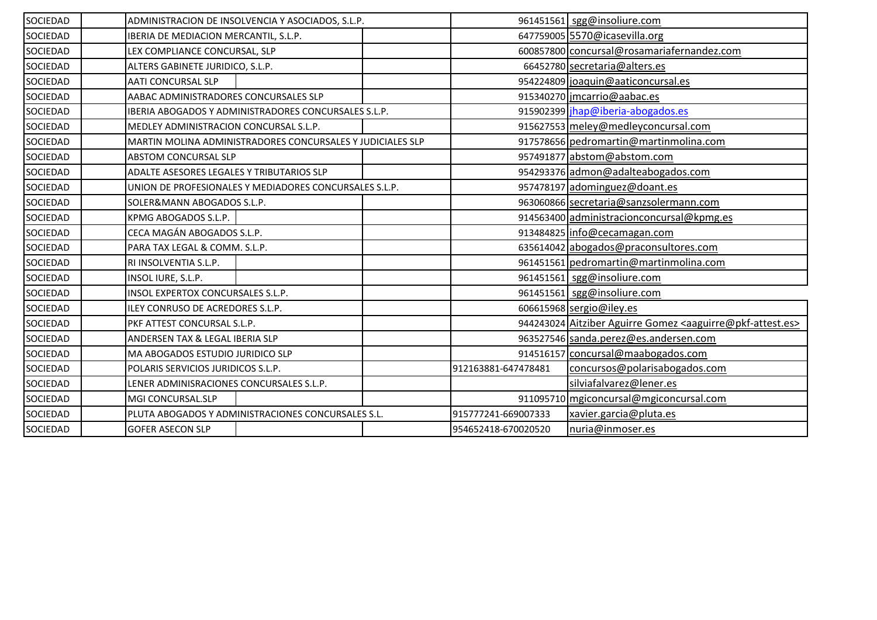| SOCIEDAD        | ADMINISTRACION DE INSOLVENCIA Y ASOCIADOS, S.L.P.           | 961451561 sgg@insoliure.com                                                        |
|-----------------|-------------------------------------------------------------|------------------------------------------------------------------------------------|
| SOCIEDAD        | IBERIA DE MEDIACION MERCANTIL, S.L.P.                       | 647759005 5570@icasevilla.org                                                      |
| SOCIEDAD        | LEX COMPLIANCE CONCURSAL, SLP                               | 600857800 concursal@rosamariafernandez.com                                         |
| SOCIEDAD        | ALTERS GABINETE JURIDICO, S.L.P.                            | 66452780 secretaria@alters.es                                                      |
| SOCIEDAD        | <b>AATI CONCURSAL SLP</b>                                   | 954224809 joaquin@aaticoncursal.es                                                 |
| SOCIEDAD        | AABAC ADMINISTRADORES CONCURSALES SLP                       | 915340270 jmcarrio@aabac.es                                                        |
| <b>SOCIEDAD</b> | <b>IBERIA ABOGADOS Y ADMINISTRADORES CONCURSALES S.L.P.</b> | 915902399 jhap@iberia-abogados.es                                                  |
| SOCIEDAD        | MEDLEY ADMINISTRACION CONCURSAL S.L.P.                      | 915627553 meley@medleyconcursal.com                                                |
| SOCIEDAD        | MARTIN MOLINA ADMINISTRADORES CONCURSALES Y JUDICIALES SLP  | 917578656 pedromartin@martinmolina.com                                             |
| SOCIEDAD        | ABSTOM CONCURSAL SLP                                        | 957491877 abstom@abstom.com                                                        |
| SOCIEDAD        | ADALTE ASESORES LEGALES Y TRIBUTARIOS SLP                   | 954293376 admon@adalteabogados.com                                                 |
| <b>SOCIEDAD</b> | UNION DE PROFESIONALES Y MEDIADORES CONCURSALES S.L.P.      | 957478197 adominguez@doant.es                                                      |
| SOCIEDAD        | SOLER&MANN ABOGADOS S.L.P.                                  | 963060866 secretaria@sanzsolermann.com                                             |
| SOCIEDAD        | KPMG ABOGADOS S.L.P.                                        | 914563400 administracionconcursal@kpmg.es                                          |
| SOCIEDAD        | CECA MAGÁN ABOGADOS S.L.P.                                  | 913484825 info@cecamagan.com                                                       |
| SOCIEDAD        | PARA TAX LEGAL & COMM. S.L.P.                               | 635614042 abogados@praconsultores.com                                              |
| <b>SOCIEDAD</b> | RI INSOLVENTIA S.L.P.                                       | 961451561 pedromartin@martinmolina.com                                             |
| SOCIEDAD        | INSOL IURE, S.L.P.                                          | 961451561 sgg@insoliure.com                                                        |
| <b>SOCIEDAD</b> | INSOL EXPERTOX CONCURSALES S.L.P.                           | 961451561 sgg@insoliure.com                                                        |
| SOCIEDAD        | ILEY CONRUSO DE ACREDORES S.L.P.                            | 606615968 sergio@iley.es                                                           |
| SOCIEDAD        | PKF ATTEST CONCURSAL S.L.P.                                 | 944243024 Aitziber Aguirre Gomez <aaguirre@pkf-attest.es></aaguirre@pkf-attest.es> |
| SOCIEDAD        | ANDERSEN TAX & LEGAL IBERIA SLP                             | 963527546 sanda.perez@es.andersen.com                                              |
| SOCIEDAD        | <b>MA ABOGADOS ESTUDIO JURIDICO SLP</b>                     | 914516157 concursal@maabogados.com                                                 |
| <b>SOCIEDAD</b> | POLARIS SERVICIOS JURIDICOS S.L.P.                          | concursos@polarisabogados.com<br>912163881-647478481                               |
| SOCIEDAD        | LENER ADMINISRACIONES CONCURSALES S.L.P.                    | silviafalvarez@lener.es                                                            |
| SOCIEDAD        | MGI CONCURSAL.SLP                                           | 911095710 mgiconcursal@mgiconcursal.com                                            |
| SOCIEDAD        | PLUTA ABOGADOS Y ADMINISTRACIONES CONCURSALES S.L.          | 915777241-669007333<br>xavier.garcia@pluta.es                                      |
| SOCIEDAD        | <b>GOFER ASECON SLP</b>                                     | 954652418-670020520<br>nuria@inmoser.es                                            |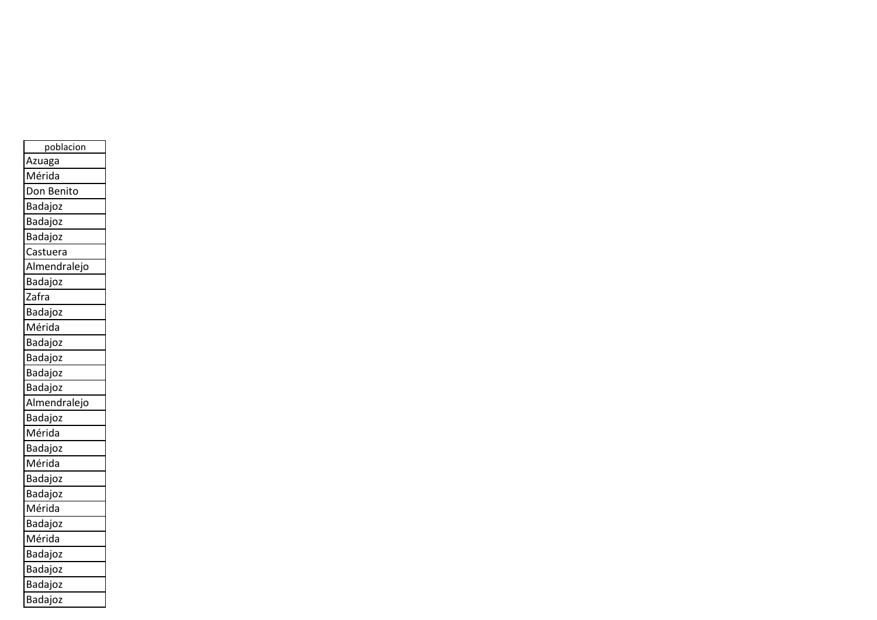| poblacion    |
|--------------|
| Azuaga       |
| Mérida       |
| Don Benito   |
| Badajoz      |
| Badajoz      |
| Badajoz      |
| Castuera     |
| Almendralejo |
| Badajoz      |
| Zafra        |
| Badajoz      |
| Mérida       |
| Badajoz      |
| Badajoz      |
| Badajoz      |
| Badajoz      |
| Almendralejo |
| Badajoz      |
| Mérida       |
| Badajoz      |
| Mérida       |
| Badajoz      |
| Badajoz      |
| Mérida       |
| Badajoz      |
| Mérida       |
| Badajoz      |
| Badajoz      |
| Badajoz      |
| Badajoz      |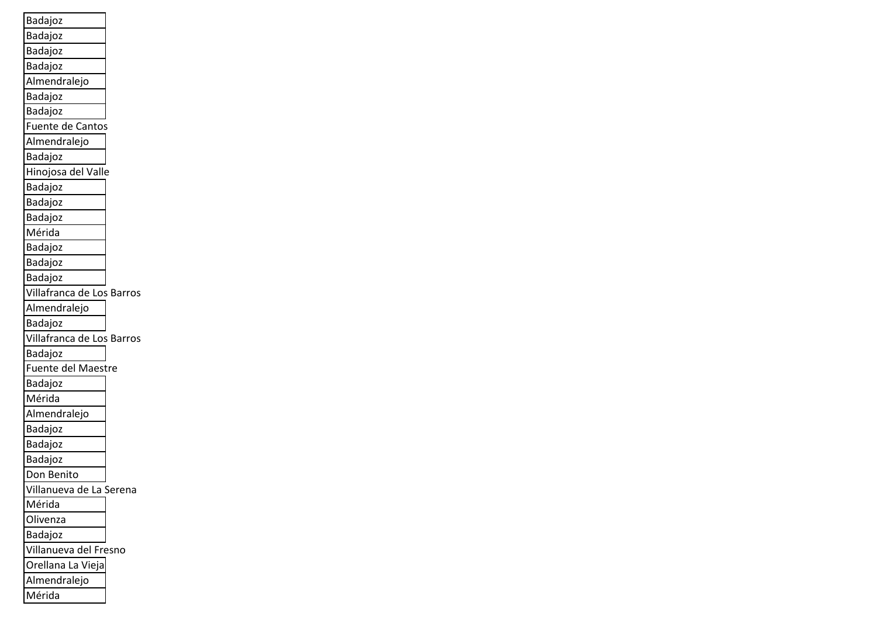| Badajoz                   |
|---------------------------|
| Badajoz                   |
| Badajoz                   |
| Badajoz                   |
| Almendralejo              |
| Badajoz                   |
| Badajoz                   |
| Fuente de Cantos          |
| Almendralejo              |
| Badajoz                   |
| Hinojosa del Valle        |
| Badajoz                   |
| Badajoz                   |
| Badajoz                   |
| Mérida                    |
| Badajoz                   |
| Badajoz                   |
| Badajoz                   |
| Villafranca de Los Barros |
| Almendralejo              |
| Badajoz                   |
| Villafranca de Los Barros |
| Badajoz                   |
| Fuente del Maestre        |
| Badajoz                   |
| Mérida                    |
| Almendralejo              |
| Badajoz                   |
| Badajoz                   |
| Badajoz                   |
| Don Benito                |
| Villanueva de La Serena   |
| Mérida                    |
| Olivenza                  |
| Badajoz                   |
| Villanueva del Fresno     |
| Orellana La Vieja         |
| Almendralejo              |
| Mérida                    |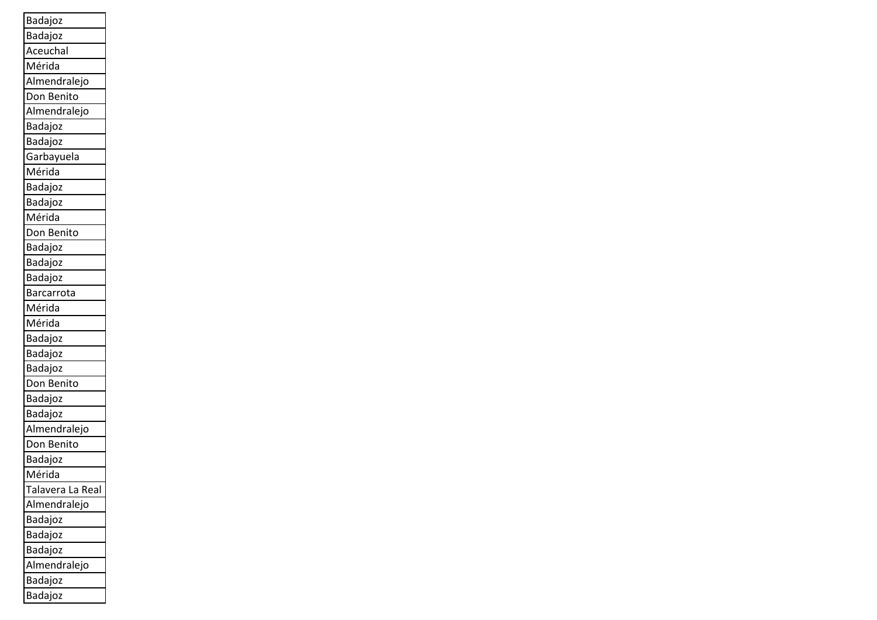| Badajoz          |
|------------------|
| Badajoz          |
| Aceuchal         |
| Mérida           |
| Almendralejo     |
| Don Benito       |
| Almendralejo     |
| Badajoz          |
| Badajoz          |
| Garbayuela       |
| Mérida           |
| Badajoz          |
| Badajoz          |
| Mérida           |
| Don Benito       |
| Badajoz          |
| Badajoz          |
| Badajoz          |
| Barcarrota       |
| Mérida           |
| Mérida           |
| Badajoz          |
| Badajoz          |
| Badajoz          |
| Don Benito       |
| Badajoz          |
| <b>Badajoz</b>   |
| Almendralejo     |
| Don Benito       |
| Badajoz          |
| Mérida           |
| Talavera La Real |
| Almendralejo     |
| Badajoz          |
| Badajoz          |
| Badajoz          |
| Almendralejo     |
| Badajoz          |
| Badajoz          |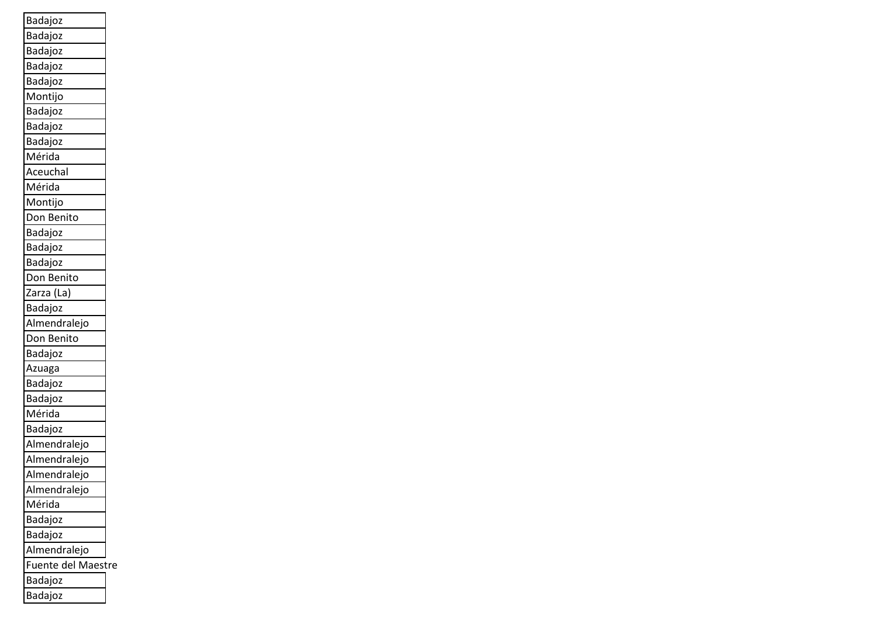| Badajoz                   |  |
|---------------------------|--|
| Badajoz                   |  |
| Badajoz                   |  |
| Badajoz                   |  |
| Badajoz                   |  |
| Montijo                   |  |
| Badajoz                   |  |
| Badajoz                   |  |
| Badajoz                   |  |
| Mérida                    |  |
| Aceuchal                  |  |
| Mérida                    |  |
| Montijo                   |  |
| Don Benito                |  |
| Badajoz                   |  |
| Badajoz                   |  |
| Badajoz                   |  |
| Don Benito                |  |
| Zarza (La)                |  |
| Badajoz                   |  |
| Almendralejo              |  |
| Don Benito                |  |
| Badajoz                   |  |
| Azuaga                    |  |
| Badajoz                   |  |
| Badajoz                   |  |
| Mérida                    |  |
| Badajoz                   |  |
| Almendralejo              |  |
| Almendralejo              |  |
| Almendralejo              |  |
| Almendralejo              |  |
| Mérida                    |  |
| Badajoz                   |  |
| Badajoz                   |  |
| Almendralejo              |  |
| <b>Fuente del Maestre</b> |  |
| Badajoz                   |  |
| Badajoz                   |  |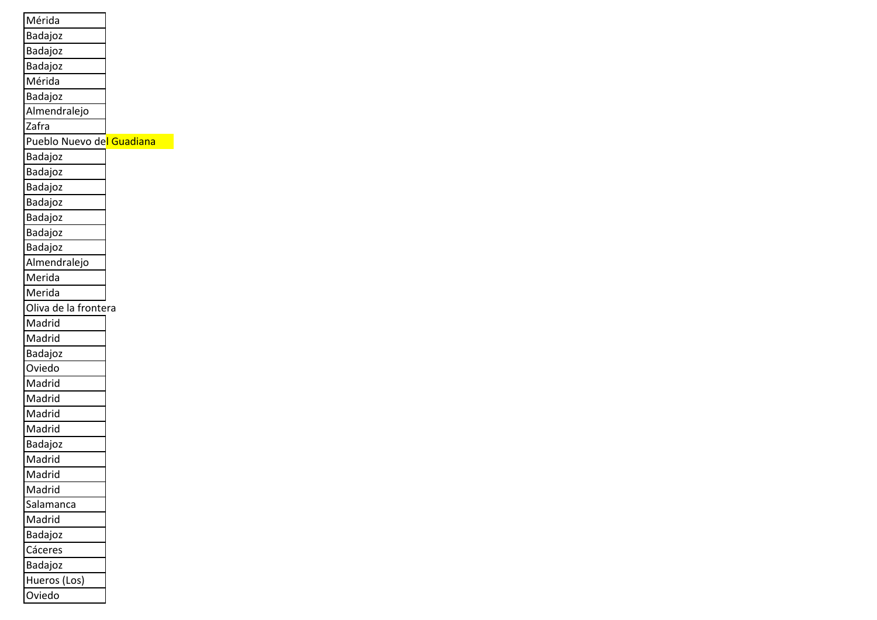| Mérida                    |  |
|---------------------------|--|
| Badajoz                   |  |
| Badajoz                   |  |
| Badajoz                   |  |
| Mérida                    |  |
| Badajoz                   |  |
| Almendralejo              |  |
| Zafra                     |  |
| Pueblo Nuevo del Guadiana |  |
| Badajoz                   |  |
| Badajoz                   |  |
| Badajoz                   |  |
| Badajoz                   |  |
| Badajoz                   |  |
| Badajoz                   |  |
| Badajoz                   |  |
| Almendralejo              |  |
| Merida                    |  |
| Merida                    |  |
| Oliva de la frontera      |  |
| Madrid                    |  |
| Madrid                    |  |
| Badajoz                   |  |
| Oviedo                    |  |
| Madrid                    |  |
| Madrid                    |  |
| Madrid                    |  |
| Madrid                    |  |
| Badajoz                   |  |
| Madrid                    |  |
| Madrid                    |  |
| Madrid                    |  |
| Salamanca                 |  |
| Madrid                    |  |
| Badajoz                   |  |
| Cáceres                   |  |
| Badajoz                   |  |
| Hueros (Los)              |  |
| Oviedo                    |  |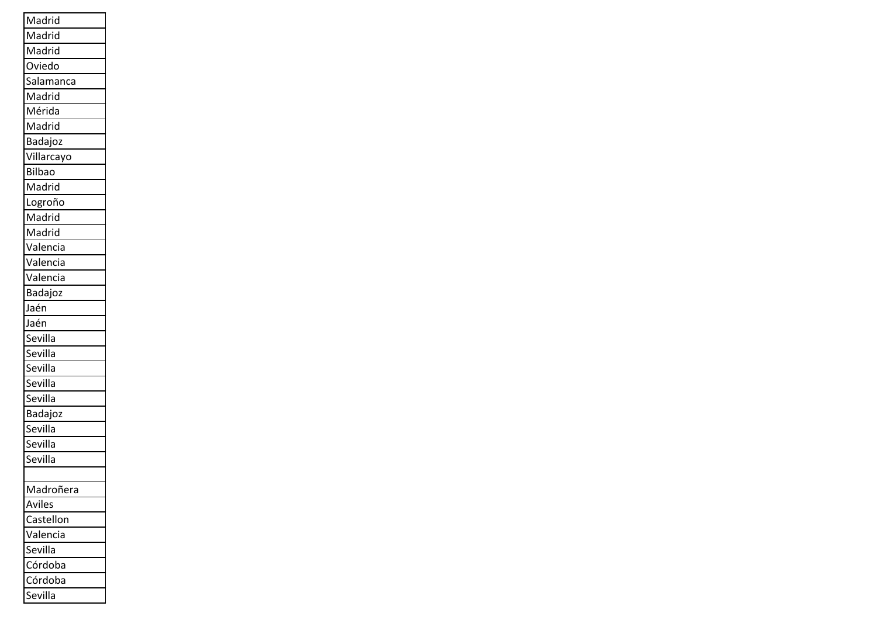| Madrid        |
|---------------|
| Madrid        |
| Madrid        |
| Oviedo        |
| Salamanca     |
| Madrid        |
| Mérida        |
| Madrid        |
| Badajoz       |
| Villarcayo    |
| <b>Bilbao</b> |
| Madrid        |
| Logroño       |
| Madrid        |
| Madrid        |
| Valencia      |
| Valencia      |
| Valencia      |
| Badajoz       |
| Jaén          |
| Jaén          |
| Sevilla       |
| Sevilla       |
| Sevilla       |
| Sevilla       |
| Sevilla       |
| Badajoz       |
| Sevilla       |
| Sevilla       |
| Sevilla       |
|               |
| Madroñera     |
| Aviles        |
| Castellon     |
| Valencia      |
|               |
| Sevilla       |
| Córdoba       |
| Córdoba       |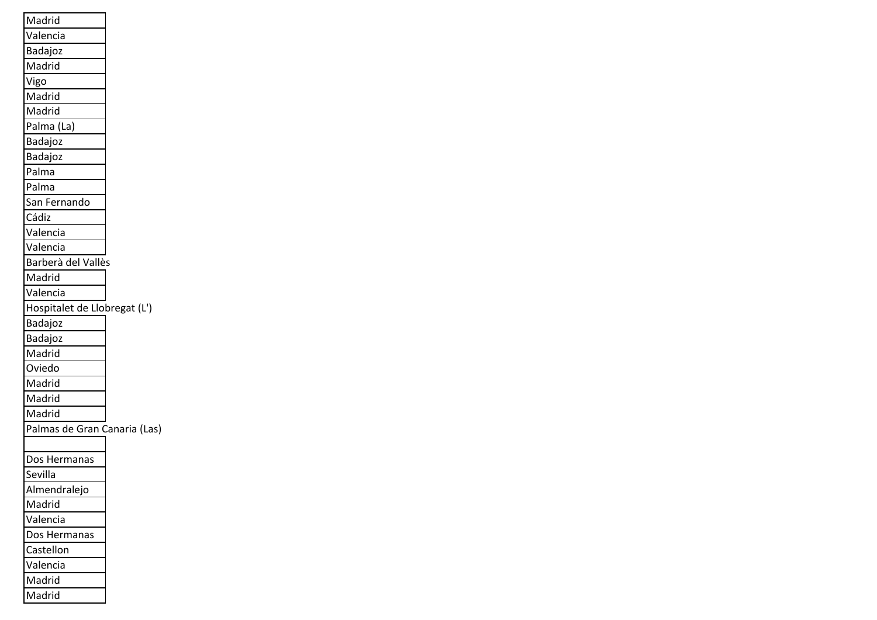| Madrid                       |  |
|------------------------------|--|
| Valencia                     |  |
| Badajoz                      |  |
| Madrid                       |  |
| Vigo                         |  |
| Madrid                       |  |
| Madrid                       |  |
| Palma (La)                   |  |
| Badajoz                      |  |
| Badajoz                      |  |
| Palma                        |  |
| Palma                        |  |
| San Fernando                 |  |
| Cádiz                        |  |
| Valencia                     |  |
| Valencia                     |  |
| Barberà del Vallès           |  |
| Madrid                       |  |
| Valencia                     |  |
| Hospitalet de Llobregat (L') |  |
| Badajoz                      |  |
| Badajoz                      |  |
| Madrid                       |  |
| Oviedo                       |  |
| Madrid                       |  |
| Madrid                       |  |
| Madrid                       |  |
| Palmas de Gran Canaria (Las) |  |
|                              |  |
| Dos Hermanas                 |  |
| Sevilla                      |  |
| Almendralejo                 |  |
| Madrid                       |  |
| Valencia                     |  |
| Dos Hermanas                 |  |
| Castellon                    |  |
| Valencia                     |  |
| Madrid                       |  |
| Madrid                       |  |

ш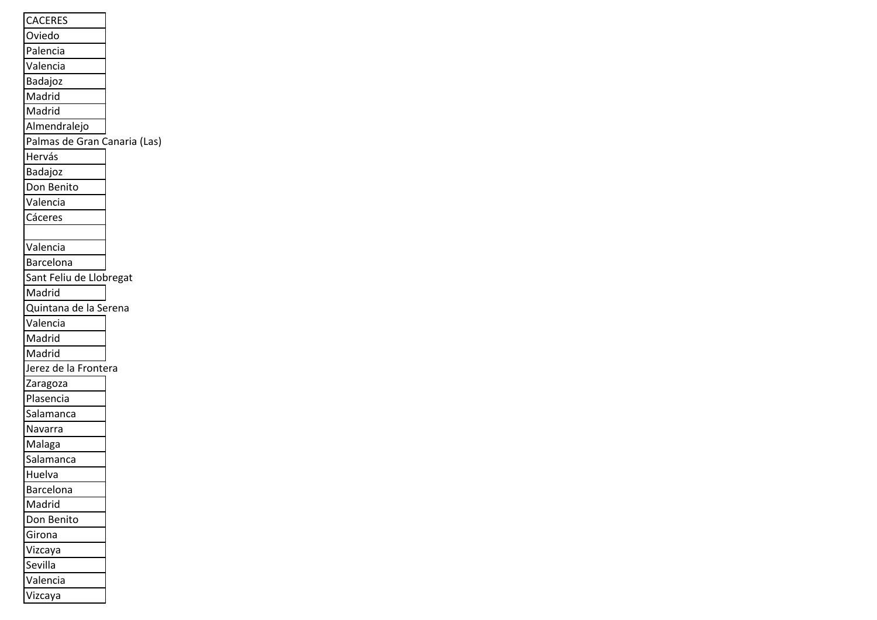| <b>CACERES</b>               |
|------------------------------|
| Oviedo                       |
| Palencia                     |
| Valencia                     |
| Badajoz                      |
| Madrid                       |
| Madrid                       |
| Almendralejo                 |
| Palmas de Gran Canaria (Las) |
| Hervás                       |
| Badajoz                      |
| Don Benito                   |
| Valencia                     |
| Cáceres                      |
|                              |
| Valencia                     |
| Barcelona                    |
| Sant Feliu de Llobregat      |
| Madrid                       |
| Quintana de la Serena        |
| Valencia                     |
| Madrid                       |
| Madrid                       |
| Jerez de la Frontera         |
| Zaragoza                     |
| Plasencia                    |
| Salamanca                    |
| Navarra                      |
| Malaga                       |
| Salamanca                    |
| Huelva                       |
| Barcelona                    |
| Madrid                       |
| Don Benito                   |
| Girona                       |
| Vizcaya                      |
| Sevilla                      |
| Valencia                     |
| Vizcaya                      |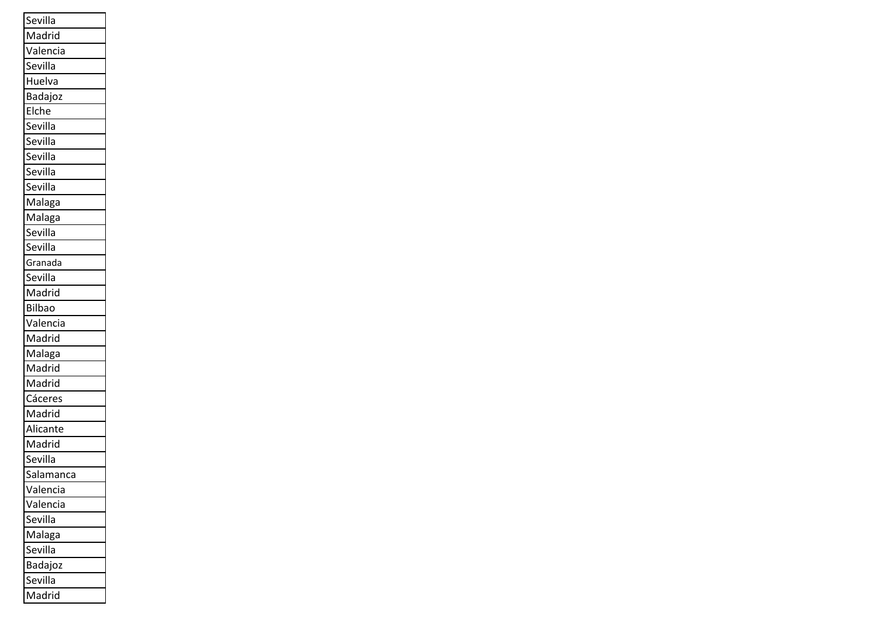| Sevilla       |
|---------------|
| Madrid        |
| Valencia      |
| Sevilla       |
| Huelva        |
| Badajoz       |
| Elche         |
| Sevilla       |
| Sevilla       |
| Sevilla       |
| Sevilla       |
| Sevilla       |
| Malaga        |
| Malaga        |
| Sevilla       |
| Sevilla       |
| Granada       |
| Sevilla       |
| Madrid        |
| <b>Bilbao</b> |
| Valencia      |
| Madrid        |
| Malaga        |
| Madrid        |
| Madrid        |
| Cáceres       |
| Madrid        |
| Alicante      |
| Madrid        |
| Sevilla       |
| Salamanca     |
| Valencia      |
| Valencia      |
| Sevilla       |
| Malaga        |
| Sevilla       |
| Badajoz       |
| Sevilla       |
| Madrid        |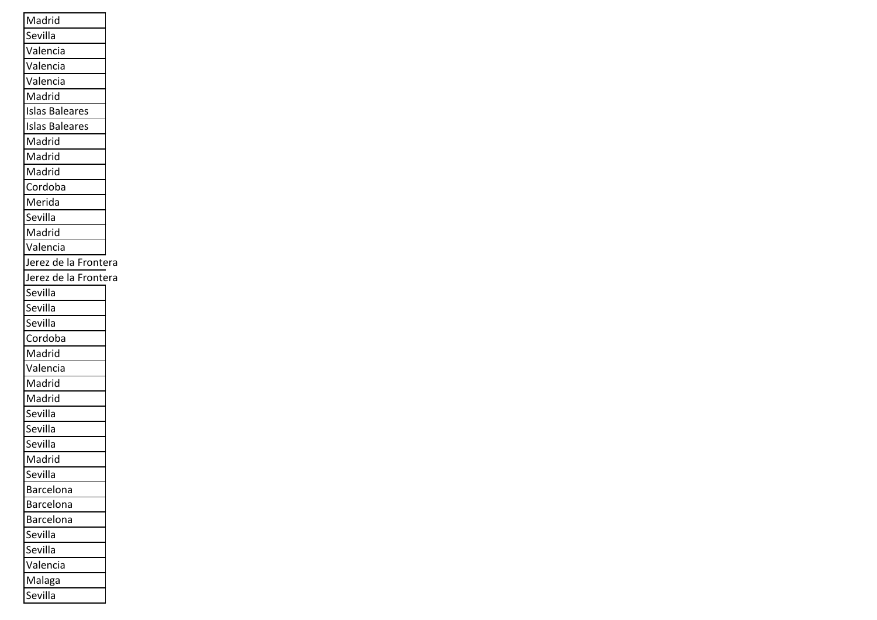| Madrid                |  |
|-----------------------|--|
| Sevilla               |  |
| Valencia              |  |
| Valencia              |  |
| Valencia              |  |
| Madrid                |  |
| <b>Islas Baleares</b> |  |
| <b>Islas Baleares</b> |  |
| Madrid                |  |
| Madrid                |  |
| Madrid                |  |
| Cordoba               |  |
| Merida                |  |
| Sevilla               |  |
| Madrid                |  |
| Valencia              |  |
| Jerez de la Frontera  |  |
| Jerez de la Frontera  |  |
| Sevilla               |  |
| Sevilla               |  |
| Sevilla               |  |
| Cordoba               |  |
| Madrid                |  |
| Valencia              |  |
| Madrid                |  |
| Madrid                |  |
| Sevilla               |  |
| Sevilla               |  |
| Sevilla               |  |
| Madrid                |  |
| Sevilla               |  |
| <b>Barcelona</b>      |  |
| Barcelona             |  |
| Barcelona             |  |
| Sevilla               |  |
| Sevilla               |  |
| Valencia              |  |
| Malaga                |  |
| Sevilla               |  |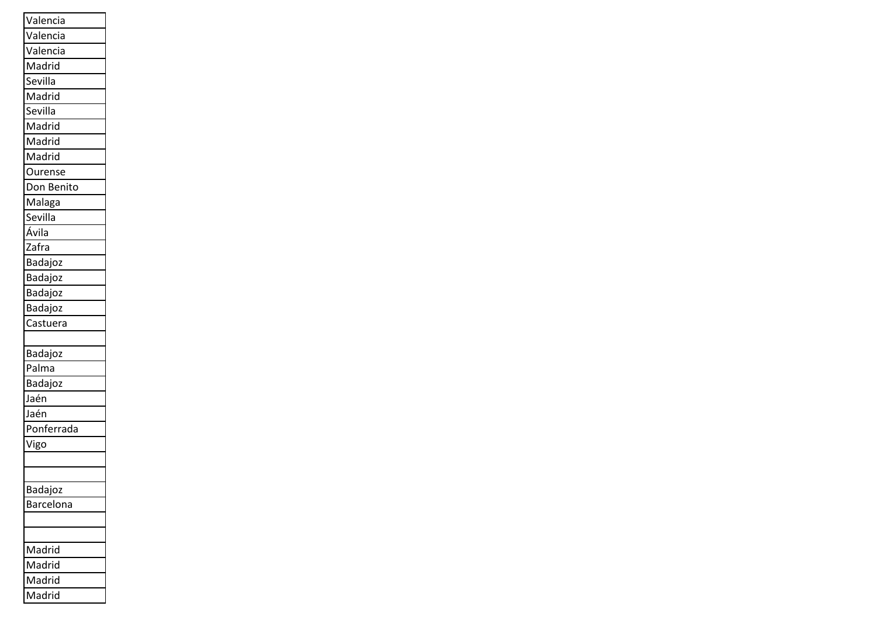| Valencia         |
|------------------|
| Valencia         |
| Valencia         |
| Madrid           |
| Sevilla          |
| Madrid           |
| Sevilla          |
| Madrid           |
| Madrid           |
| Madrid           |
| Ourense          |
| Don Benito       |
| Malaga           |
| Sevilla          |
| Ávila            |
| Zafra            |
| Badajoz          |
| Badajoz          |
| Badajoz          |
| Badajoz          |
| Castuera         |
|                  |
| Badajoz          |
| Palma            |
| Badajoz          |
| Jaén             |
| Jaén             |
| Ponferrada       |
| Vigo             |
|                  |
|                  |
| Badajoz          |
| <b>Barcelona</b> |
|                  |
|                  |
| Madrid           |
| Madrid           |
| Madrid           |
| Madrid           |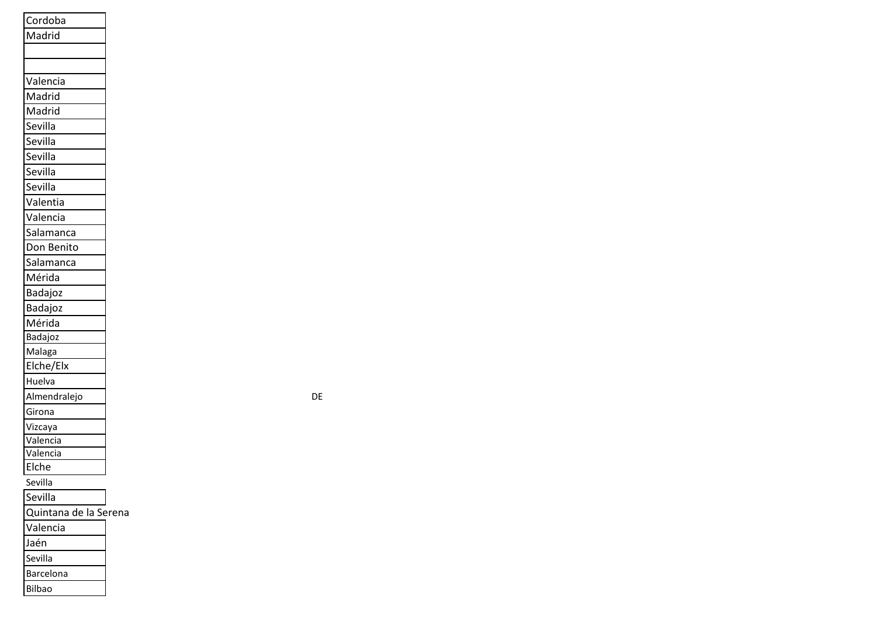| Cordoba               |
|-----------------------|
| Madrid                |
|                       |
|                       |
| Valencia              |
| Madrid                |
| Madrid                |
| Sevilla               |
| Sevilla               |
| Sevilla               |
| Sevilla               |
| Sevilla               |
| Valentia              |
| Valencia              |
| Salamanca             |
| Don Benito            |
| Salamanca             |
| Mérida                |
| Badajoz               |
|                       |
| Badajoz<br>Mérida     |
| Badajoz               |
| Malaga                |
| Elche/Elx             |
| Huelva                |
| Almendralejo          |
| Girona                |
| Vizcaya               |
| Valencia              |
| Valencia              |
| Elche                 |
| Sevilla               |
| Sevilla               |
| Quintana de la Serena |
| Valencia              |

Sevilla

Barcelona

Bilbao